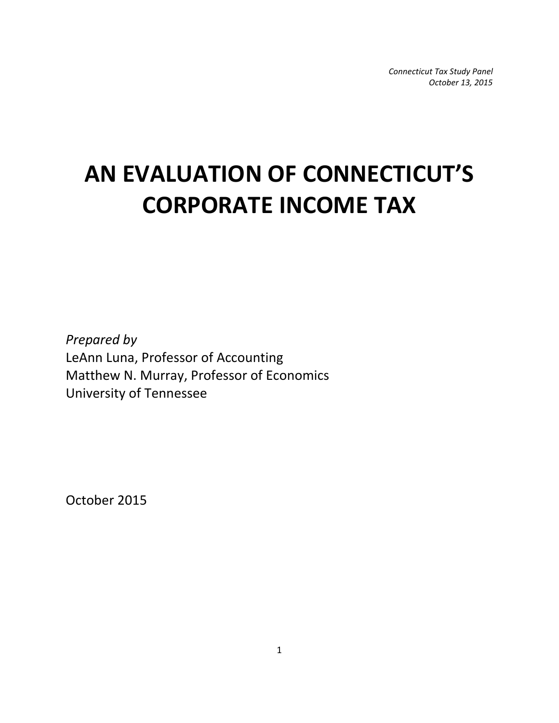*Connecticut Tax Study Panel October 13, 2015*

# **AN EVALUATION OF CONNECTICUT'S CORPORATE INCOME TAX**

*Prepared by* LeAnn Luna, Professor of Accounting Matthew N. Murray, Professor of Economics University of Tennessee

October 2015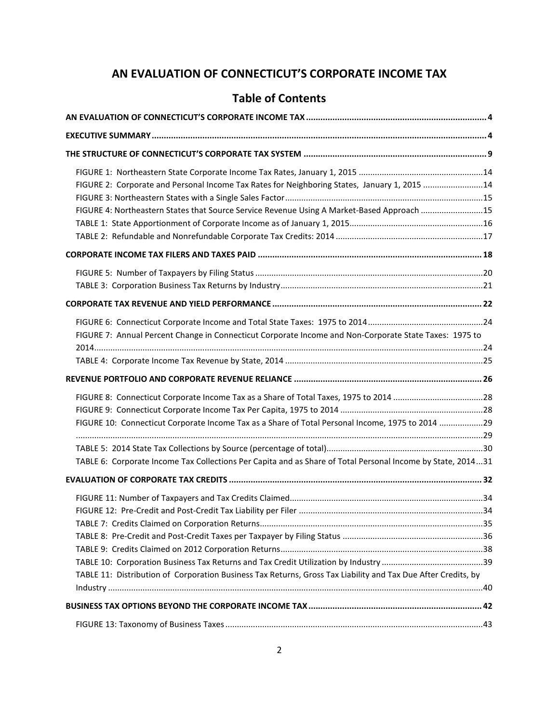# **AN EVALUATION OF CONNECTICUT'S CORPORATE INCOME TAX**

# **Table of Contents**

| FIGURE 2: Corporate and Personal Income Tax Rates for Neighboring States, January 1, 2015 14                  |  |
|---------------------------------------------------------------------------------------------------------------|--|
| FIGURE 4: Northeastern States that Source Service Revenue Using A Market-Based Approach 15                    |  |
|                                                                                                               |  |
|                                                                                                               |  |
|                                                                                                               |  |
|                                                                                                               |  |
| FIGURE 7: Annual Percent Change in Connecticut Corporate Income and Non-Corporate State Taxes: 1975 to        |  |
|                                                                                                               |  |
|                                                                                                               |  |
|                                                                                                               |  |
| FIGURE 10: Connecticut Corporate Income Tax as a Share of Total Personal Income, 1975 to 2014 29              |  |
| TABLE 6: Corporate Income Tax Collections Per Capita and as Share of Total Personal Income by State, 201431   |  |
|                                                                                                               |  |
|                                                                                                               |  |
|                                                                                                               |  |
|                                                                                                               |  |
| TABLE 11: Distribution of Corporation Business Tax Returns, Gross Tax Liability and Tax Due After Credits, by |  |
|                                                                                                               |  |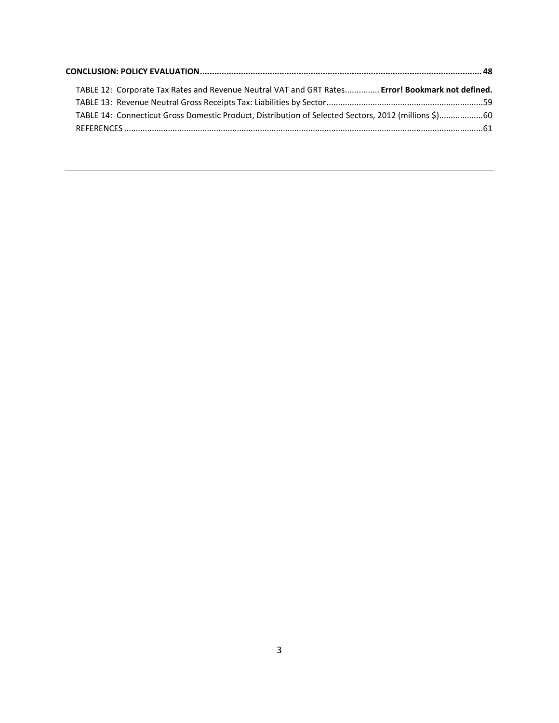| TABLE 12: Corporate Tax Rates and Revenue Neutral VAT and GRT Rates Error! Bookmark not defined.     |  |
|------------------------------------------------------------------------------------------------------|--|
|                                                                                                      |  |
| TABLE 14: Connecticut Gross Domestic Product, Distribution of Selected Sectors, 2012 (millions \$)60 |  |
|                                                                                                      |  |
|                                                                                                      |  |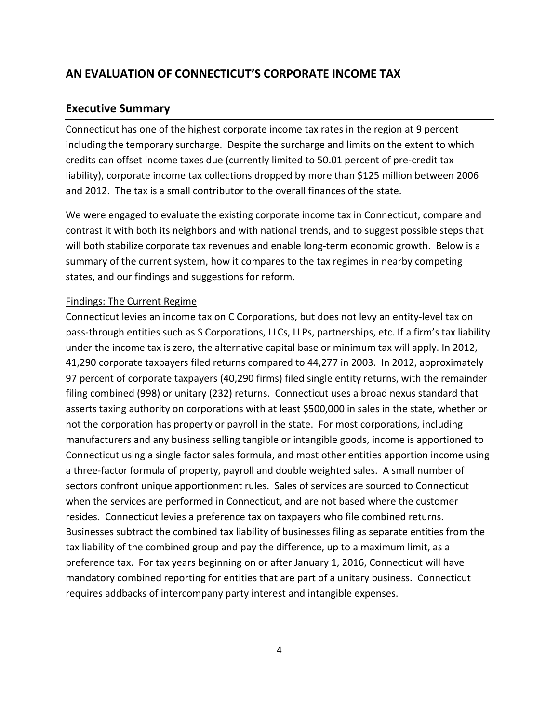# <span id="page-3-0"></span>**AN EVALUATION OF CONNECTICUT'S CORPORATE INCOME TAX**

### <span id="page-3-1"></span>**Executive Summary**

Connecticut has one of the highest corporate income tax rates in the region at 9 percent including the temporary surcharge. Despite the surcharge and limits on the extent to which credits can offset income taxes due (currently limited to 50.01 percent of pre-credit tax liability), corporate income tax collections dropped by more than \$125 million between 2006 and 2012. The tax is a small contributor to the overall finances of the state.

We were engaged to evaluate the existing corporate income tax in Connecticut, compare and contrast it with both its neighbors and with national trends, and to suggest possible steps that will both stabilize corporate tax revenues and enable long-term economic growth. Below is a summary of the current system, how it compares to the tax regimes in nearby competing states, and our findings and suggestions for reform.

### Findings: The Current Regime

Connecticut levies an income tax on C Corporations, but does not levy an entity-level tax on pass-through entities such as S Corporations, LLCs, LLPs, partnerships, etc. If a firm's tax liability under the income tax is zero, the alternative capital base or minimum tax will apply. In 2012, 41,290 corporate taxpayers filed returns compared to 44,277 in 2003. In 2012, approximately 97 percent of corporate taxpayers (40,290 firms) filed single entity returns, with the remainder filing combined (998) or unitary (232) returns. Connecticut uses a broad nexus standard that asserts taxing authority on corporations with at least \$500,000 in sales in the state, whether or not the corporation has property or payroll in the state. For most corporations, including manufacturers and any business selling tangible or intangible goods, income is apportioned to Connecticut using a single factor sales formula, and most other entities apportion income using a three-factor formula of property, payroll and double weighted sales. A small number of sectors confront unique apportionment rules. Sales of services are sourced to Connecticut when the services are performed in Connecticut, and are not based where the customer resides. Connecticut levies a preference tax on taxpayers who file combined returns. Businesses subtract the combined tax liability of businesses filing as separate entities from the tax liability of the combined group and pay the difference, up to a maximum limit, as a preference tax. For tax years beginning on or after January 1, 2016, Connecticut will have mandatory combined reporting for entities that are part of a unitary business. Connecticut requires addbacks of intercompany party interest and intangible expenses.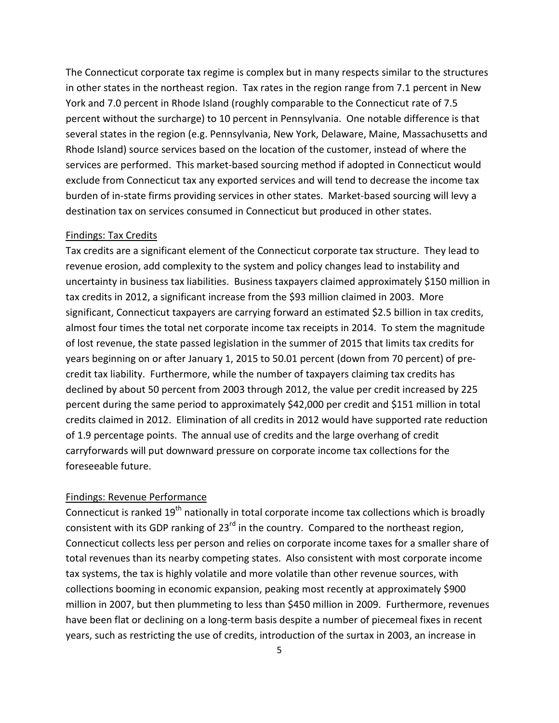The Connecticut corporate tax regime is complex but in many respects similar to the structures in other states in the northeast region. Tax rates in the region range from 7.1 percent in New York and 7.0 percent in Rhode Island (roughly comparable to the Connecticut rate of 7.5 percent without the surcharge) to 10 percent in Pennsylvania. One notable difference is that several states in the region (e.g. Pennsylvania, New York, Delaware, Maine, Massachusetts and Rhode Island) source services based on the location of the customer, instead of where the services are performed. This market-based sourcing method if adopted in Connecticut would exclude from Connecticut tax any exported services and will tend to decrease the income tax burden of in-state firms providing services in other states. Market-based sourcing will levy a destination tax on services consumed in Connecticut but produced in other states.

### Findings: Tax Credits

Tax credits are a significant element of the Connecticut corporate tax structure. They lead to revenue erosion, add complexity to the system and policy changes lead to instability and uncertainty in business tax liabilities. Business taxpayers claimed approximately \$150 million in tax credits in 2012, a significant increase from the \$93 million claimed in 2003. More significant, Connecticut taxpayers are carrying forward an estimated \$2.5 billion in tax credits, almost four times the total net corporate income tax receipts in 2014. To stem the magnitude of lost revenue, the state passed legislation in the summer of 2015 that limits tax credits for years beginning on or after January 1, 2015 to 50.01 percent (down from 70 percent) of precredit tax liability. Furthermore, while the number of taxpayers claiming tax credits has declined by about 50 percent from 2003 through 2012, the value per credit increased by 225 percent during the same period to approximately \$42,000 per credit and \$151 million in total credits claimed in 2012. Elimination of all credits in 2012 would have supported rate reduction of 1.9 percentage points. The annual use of credits and the large overhang of credit carryforwards will put downward pressure on corporate income tax collections for the foreseeable future.

### Findings: Revenue Performance

Connecticut is ranked 19<sup>th</sup> nationally in total corporate income tax collections which is broadly consistent with its GDP ranking of 23<sup>rd</sup> in the country. Compared to the northeast region, Connecticut collects less per person and relies on corporate income taxes for a smaller share of total revenues than its nearby competing states. Also consistent with most corporate income tax systems, the tax is highly volatile and more volatile than other revenue sources, with collections booming in economic expansion, peaking most recently at approximately \$900 million in 2007, but then plummeting to less than \$450 million in 2009. Furthermore, revenues have been flat or declining on a long-term basis despite a number of piecemeal fixes in recent years, such as restricting the use of credits, introduction of the surtax in 2003, an increase in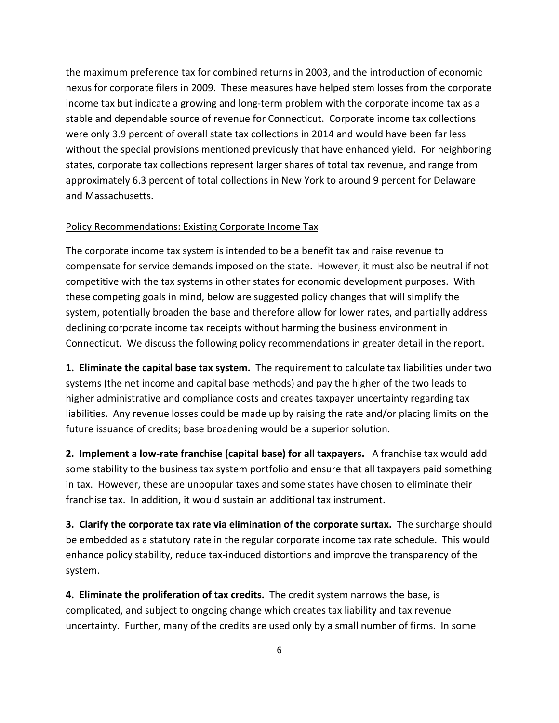the maximum preference tax for combined returns in 2003, and the introduction of economic nexus for corporate filers in 2009. These measures have helped stem losses from the corporate income tax but indicate a growing and long-term problem with the corporate income tax as a stable and dependable source of revenue for Connecticut. Corporate income tax collections were only 3.9 percent of overall state tax collections in 2014 and would have been far less without the special provisions mentioned previously that have enhanced yield. For neighboring states, corporate tax collections represent larger shares of total tax revenue, and range from approximately 6.3 percent of total collections in New York to around 9 percent for Delaware and Massachusetts.

### Policy Recommendations: Existing Corporate Income Tax

The corporate income tax system is intended to be a benefit tax and raise revenue to compensate for service demands imposed on the state. However, it must also be neutral if not competitive with the tax systems in other states for economic development purposes. With these competing goals in mind, below are suggested policy changes that will simplify the system, potentially broaden the base and therefore allow for lower rates, and partially address declining corporate income tax receipts without harming the business environment in Connecticut. We discuss the following policy recommendations in greater detail in the report.

**1. Eliminate the capital base tax system.** The requirement to calculate tax liabilities under two systems (the net income and capital base methods) and pay the higher of the two leads to higher administrative and compliance costs and creates taxpayer uncertainty regarding tax liabilities. Any revenue losses could be made up by raising the rate and/or placing limits on the future issuance of credits; base broadening would be a superior solution.

**2. Implement a low-rate franchise (capital base) for all taxpayers.** A franchise tax would add some stability to the business tax system portfolio and ensure that all taxpayers paid something in tax. However, these are unpopular taxes and some states have chosen to eliminate their franchise tax. In addition, it would sustain an additional tax instrument.

**3. Clarify the corporate tax rate via elimination of the corporate surtax.** The surcharge should be embedded as a statutory rate in the regular corporate income tax rate schedule. This would enhance policy stability, reduce tax-induced distortions and improve the transparency of the system.

**4. Eliminate the proliferation of tax credits.** The credit system narrows the base, is complicated, and subject to ongoing change which creates tax liability and tax revenue uncertainty. Further, many of the credits are used only by a small number of firms. In some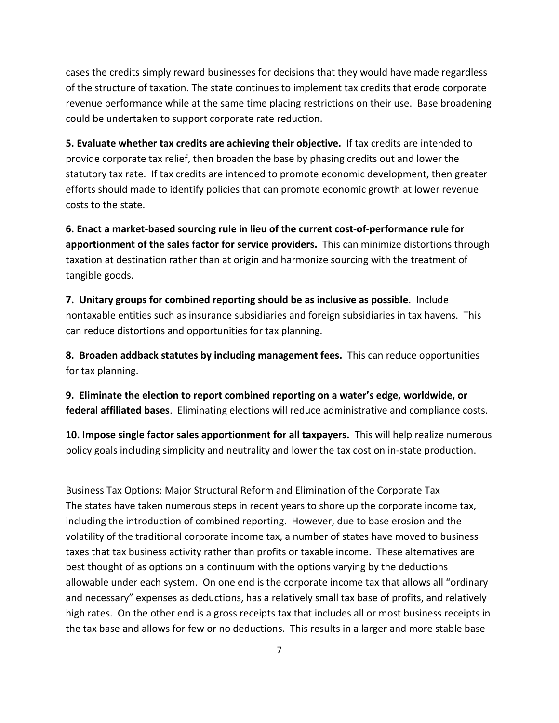cases the credits simply reward businesses for decisions that they would have made regardless of the structure of taxation. The state continues to implement tax credits that erode corporate revenue performance while at the same time placing restrictions on their use. Base broadening could be undertaken to support corporate rate reduction.

**5. Evaluate whether tax credits are achieving their objective.** If tax credits are intended to provide corporate tax relief, then broaden the base by phasing credits out and lower the statutory tax rate. If tax credits are intended to promote economic development, then greater efforts should made to identify policies that can promote economic growth at lower revenue costs to the state.

**6. Enact a market-based sourcing rule in lieu of the current cost-of-performance rule for apportionment of the sales factor for service providers.** This can minimize distortions through taxation at destination rather than at origin and harmonize sourcing with the treatment of tangible goods.

**7. Unitary groups for combined reporting should be as inclusive as possible**. Include nontaxable entities such as insurance subsidiaries and foreign subsidiaries in tax havens.This can reduce distortions and opportunities for tax planning.

**8. Broaden addback statutes by including management fees.** This can reduce opportunities for tax planning.

**9. Eliminate the election to report combined reporting on a water's edge, worldwide, or federal affiliated bases**. Eliminating elections will reduce administrative and compliance costs.

**10. Impose single factor sales apportionment for all taxpayers.** This will help realize numerous policy goals including simplicity and neutrality and lower the tax cost on in-state production.

### Business Tax Options: Major Structural Reform and Elimination of the Corporate Tax

The states have taken numerous steps in recent years to shore up the corporate income tax, including the introduction of combined reporting. However, due to base erosion and the volatility of the traditional corporate income tax, a number of states have moved to business taxes that tax business activity rather than profits or taxable income. These alternatives are best thought of as options on a continuum with the options varying by the deductions allowable under each system. On one end is the corporate income tax that allows all "ordinary and necessary" expenses as deductions, has a relatively small tax base of profits, and relatively high rates. On the other end is a gross receipts tax that includes all or most business receipts in the tax base and allows for few or no deductions. This results in a larger and more stable base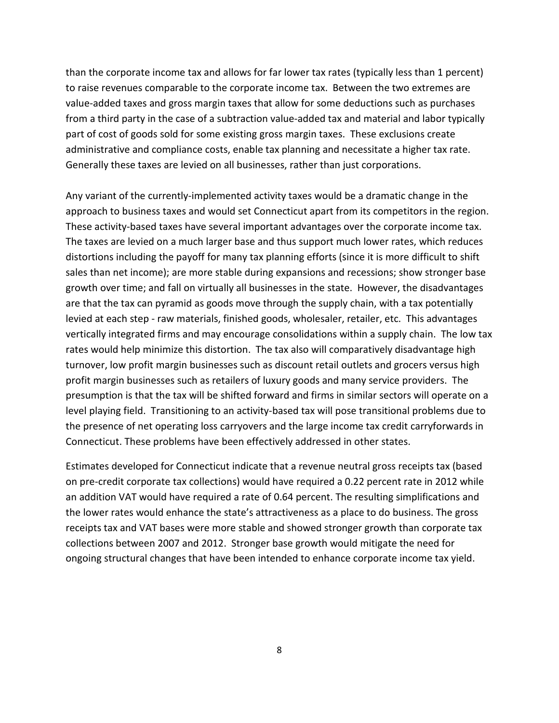than the corporate income tax and allows for far lower tax rates (typically less than 1 percent) to raise revenues comparable to the corporate income tax. Between the two extremes are value-added taxes and gross margin taxes that allow for some deductions such as purchases from a third party in the case of a subtraction value-added tax and material and labor typically part of cost of goods sold for some existing gross margin taxes. These exclusions create administrative and compliance costs, enable tax planning and necessitate a higher tax rate. Generally these taxes are levied on all businesses, rather than just corporations.

Any variant of the currently-implemented activity taxes would be a dramatic change in the approach to business taxes and would set Connecticut apart from its competitors in the region. These activity-based taxes have several important advantages over the corporate income tax. The taxes are levied on a much larger base and thus support much lower rates, which reduces distortions including the payoff for many tax planning efforts (since it is more difficult to shift sales than net income); are more stable during expansions and recessions; show stronger base growth over time; and fall on virtually all businesses in the state. However, the disadvantages are that the tax can pyramid as goods move through the supply chain, with a tax potentially levied at each step - raw materials, finished goods, wholesaler, retailer, etc. This advantages vertically integrated firms and may encourage consolidations within a supply chain. The low tax rates would help minimize this distortion. The tax also will comparatively disadvantage high turnover, low profit margin businesses such as discount retail outlets and grocers versus high profit margin businesses such as retailers of luxury goods and many service providers. The presumption is that the tax will be shifted forward and firms in similar sectors will operate on a level playing field. Transitioning to an activity-based tax will pose transitional problems due to the presence of net operating loss carryovers and the large income tax credit carryforwards in Connecticut. These problems have been effectively addressed in other states.

Estimates developed for Connecticut indicate that a revenue neutral gross receipts tax (based on pre-credit corporate tax collections) would have required a 0.22 percent rate in 2012 while an addition VAT would have required a rate of 0.64 percent. The resulting simplifications and the lower rates would enhance the state's attractiveness as a place to do business. The gross receipts tax and VAT bases were more stable and showed stronger growth than corporate tax collections between 2007 and 2012. Stronger base growth would mitigate the need for ongoing structural changes that have been intended to enhance corporate income tax yield.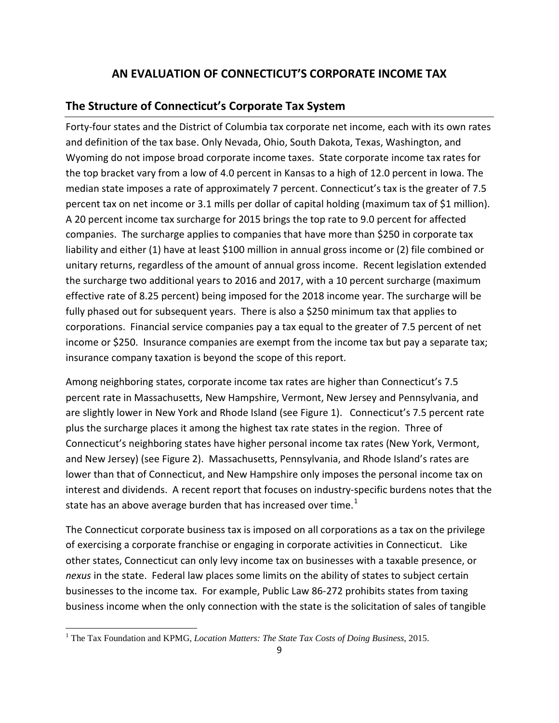# **AN EVALUATION OF CONNECTICUT'S CORPORATE INCOME TAX**

# <span id="page-8-0"></span>**The Structure of Connecticut's Corporate Tax System**

Forty-four states and the District of Columbia tax corporate net income, each with its own rates and definition of the tax base. Only Nevada, Ohio, South Dakota, Texas, Washington, and Wyoming do not impose broad corporate income taxes. State corporate income tax rates for the top bracket vary from a low of 4.0 percent in Kansas to a high of 12.0 percent in Iowa. The median state imposes a rate of approximately 7 percent. Connecticut's tax is the greater of 7.5 percent tax on net income or 3.1 mills per dollar of capital holding (maximum tax of \$1 million). A 20 percent income tax surcharge for 2015 brings the top rate to 9.0 percent for affected companies. The surcharge applies to companies that have more than \$250 in corporate tax liability and either (1) have at least \$100 million in annual gross income or (2) file combined or unitary returns, regardless of the amount of annual gross income. Recent legislation extended the surcharge two additional years to 2016 and 2017, with a 10 percent surcharge (maximum effective rate of 8.25 percent) being imposed for the 2018 income year. The surcharge will be fully phased out for subsequent years. There is also a \$250 minimum tax that applies to corporations. Financial service companies pay a tax equal to the greater of 7.5 percent of net income or \$250. Insurance companies are exempt from the income tax but pay a separate tax; insurance company taxation is beyond the scope of this report.

Among neighboring states, corporate income tax rates are higher than Connecticut's 7.5 percent rate in Massachusetts, New Hampshire, Vermont, New Jersey and Pennsylvania, and are slightly lower in New York and Rhode Island (see Figure 1). Connecticut's 7.5 percent rate plus the surcharge places it among the highest tax rate states in the region. Three of Connecticut's neighboring states have higher personal income tax rates (New York, Vermont, and New Jersey) (see Figure 2). Massachusetts, Pennsylvania, and Rhode Island's rates are lower than that of Connecticut, and New Hampshire only imposes the personal income tax on interest and dividends. A recent report that focuses on industry-specific burdens notes that the state has an above average burden that has increased over time.<sup>[1](#page-8-1)</sup>

The Connecticut corporate business tax is imposed on all corporations as a tax on the privilege of exercising a corporate franchise or engaging in corporate activities in Connecticut. Like other states, Connecticut can only levy income tax on businesses with a taxable presence, or *nexus* in the state. Federal law places some limits on the ability of states to subject certain businesses to the income tax. For example, Public Law 86-272 prohibits states from taxing business income when the only connection with the state is the solicitation of sales of tangible

<span id="page-8-1"></span><sup>&</sup>lt;sup>1</sup> The Tax Foundation and KPMG, *Location Matters: The State Tax Costs of Doing Business*, 2015.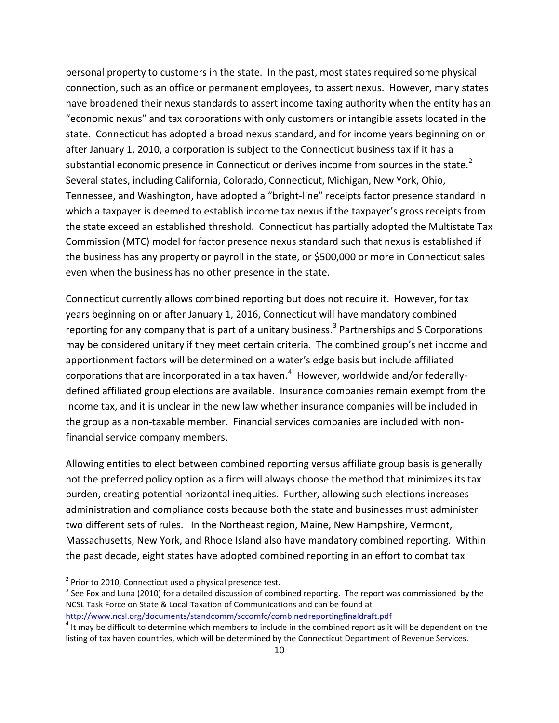personal property to customers in the state. In the past, most states required some physical connection, such as an office or permanent employees, to assert nexus. However, many states have broadened their nexus standards to assert income taxing authority when the entity has an "economic nexus" and tax corporations with only customers or intangible assets located in the state. Connecticut has adopted a broad nexus standard, and for income years beginning on or after January 1, 2010, a corporation is subject to the Connecticut business tax if it has a substantial economic presence in Connecticut or derives income from sources in the state.<sup>[2](#page-9-0)</sup> Several states, including California, Colorado, Connecticut, Michigan, New York, Ohio, Tennessee, and Washington, have adopted a "bright-line" receipts factor presence standard in which a taxpayer is deemed to establish income tax nexus if the taxpayer's gross receipts from the state exceed an established threshold. Connecticut has partially adopted the Multistate Tax Commission (MTC) model for factor presence nexus standard such that nexus is established if the business has any property or payroll in the state, or \$500,000 or more in Connecticut sales even when the business has no other presence in the state.

Connecticut currently allows combined reporting but does not require it. However, for tax years beginning on or after January 1, 2016, Connecticut will have mandatory combined reporting for any company that is part of a unitary business.<sup>[3](#page-9-1)</sup> Partnerships and S Corporations may be considered unitary if they meet certain criteria. The combined group's net income and apportionment factors will be determined on a water's edge basis but include affiliated corporations that are incorporated in a tax haven.<sup>[4](#page-9-2)</sup> However, worldwide and/or federallydefined affiliated group elections are available. Insurance companies remain exempt from the income tax, and it is unclear in the new law whether insurance companies will be included in the group as a non-taxable member. Financial services companies are included with nonfinancial service company members.

Allowing entities to elect between combined reporting versus affiliate group basis is generally not the preferred policy option as a firm will always choose the method that minimizes its tax burden, creating potential horizontal inequities. Further, allowing such elections increases administration and compliance costs because both the state and businesses must administer two different sets of rules. In the Northeast region, Maine, New Hampshire, Vermont, Massachusetts, New York, and Rhode Island also have mandatory combined reporting. Within the past decade, eight states have adopted combined reporting in an effort to combat tax

<span id="page-9-0"></span> $2$  Prior to 2010, Connecticut used a physical presence test.

<span id="page-9-1"></span> $3$  See Fox and Luna (2010) for a detailed discussion of combined reporting. The report was commissioned by the NCSL Task Force on State & Local Taxation of Communications and can be found at

<http://www.ncsl.org/documents/standcomm/sccomfc/combinedreportingfinaldraft.pdf>

<span id="page-9-2"></span> $<sup>4</sup>$  It may be difficult to determine which members to include in the combined report as it will be dependent on the</sup> listing of tax haven countries, which will be determined by the Connecticut Department of Revenue Services.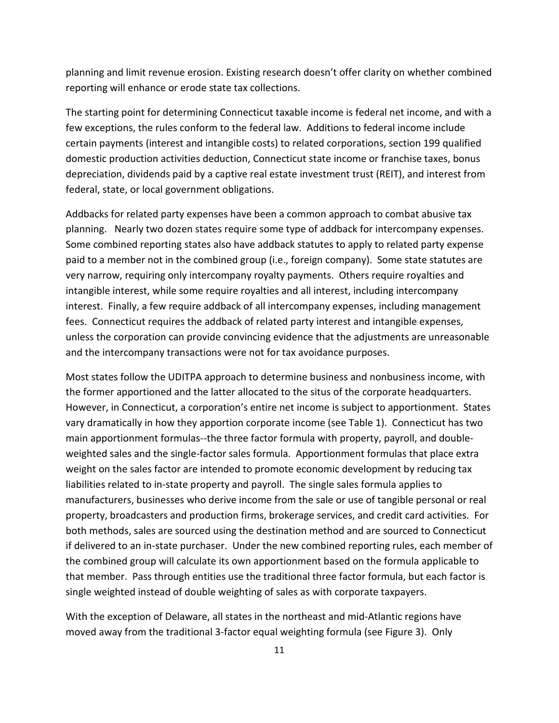planning and limit revenue erosion. Existing research doesn't offer clarity on whether combined reporting will enhance or erode state tax collections.

The starting point for determining Connecticut taxable income is federal net income, and with a few exceptions, the rules conform to the federal law. Additions to federal income include certain payments (interest and intangible costs) to related corporations, section 199 qualified domestic production activities deduction, Connecticut state income or franchise taxes, bonus depreciation, dividends paid by a captive real estate investment trust (REIT), and interest from federal, state, or local government obligations.

Addbacks for related party expenses have been a common approach to combat abusive tax planning. Nearly two dozen states require some type of addback for intercompany expenses. Some combined reporting states also have addback statutes to apply to related party expense paid to a member not in the combined group (i.e., foreign company). Some state statutes are very narrow, requiring only intercompany royalty payments. Others require royalties and intangible interest, while some require royalties and all interest, including intercompany interest. Finally, a few require addback of all intercompany expenses, including management fees. Connecticut requires the addback of related party interest and intangible expenses, unless the corporation can provide convincing evidence that the adjustments are unreasonable and the intercompany transactions were not for tax avoidance purposes.

Most states follow the UDITPA approach to determine business and nonbusiness income, with the former apportioned and the latter allocated to the situs of the corporate headquarters. However, in Connecticut, a corporation's entire net income is subject to apportionment. States vary dramatically in how they apportion corporate income (see Table 1). Connecticut has two main apportionment formulas--the three factor formula with property, payroll, and doubleweighted sales and the single-factor sales formula. Apportionment formulas that place extra weight on the sales factor are intended to promote economic development by reducing tax liabilities related to in-state property and payroll. The single sales formula applies to manufacturers, businesses who derive income from the sale or use of tangible personal or real property, broadcasters and production firms, brokerage services, and credit card activities. For both methods, sales are sourced using the destination method and are sourced to Connecticut if delivered to an in-state purchaser. Under the new combined reporting rules, each member of the combined group will calculate its own apportionment based on the formula applicable to that member. Pass through entities use the traditional three factor formula, but each factor is single weighted instead of double weighting of sales as with corporate taxpayers.

With the exception of Delaware, all states in the northeast and mid-Atlantic regions have moved away from the traditional 3-factor equal weighting formula (see Figure 3). Only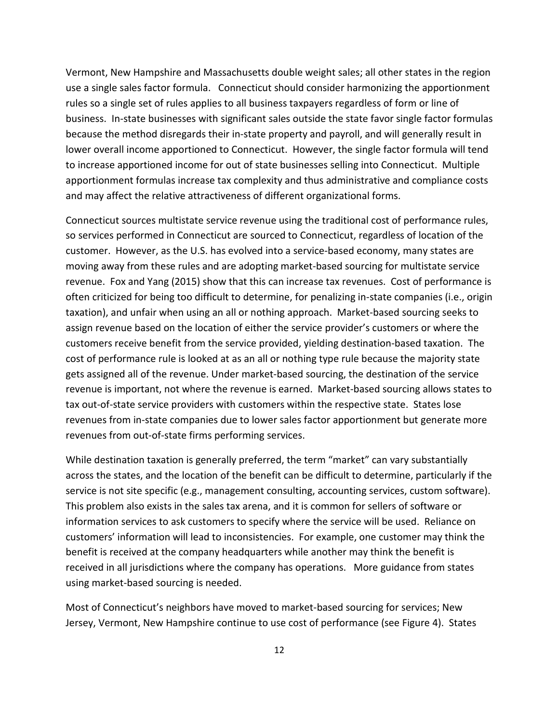Vermont, New Hampshire and Massachusetts double weight sales; all other states in the region use a single sales factor formula. Connecticut should consider harmonizing the apportionment rules so a single set of rules applies to all business taxpayers regardless of form or line of business. In-state businesses with significant sales outside the state favor single factor formulas because the method disregards their in-state property and payroll, and will generally result in lower overall income apportioned to Connecticut. However, the single factor formula will tend to increase apportioned income for out of state businesses selling into Connecticut. Multiple apportionment formulas increase tax complexity and thus administrative and compliance costs and may affect the relative attractiveness of different organizational forms.

Connecticut sources multistate service revenue using the traditional cost of performance rules, so services performed in Connecticut are sourced to Connecticut, regardless of location of the customer. However, as the U.S. has evolved into a service-based economy, many states are moving away from these rules and are adopting market-based sourcing for multistate service revenue. Fox and Yang (2015) show that this can increase tax revenues. Cost of performance is often criticized for being too difficult to determine, for penalizing in-state companies (i.e., origin taxation), and unfair when using an all or nothing approach. Market-based sourcing seeks to assign revenue based on the location of either the service provider's customers or where the customers receive benefit from the service provided, yielding destination-based taxation. The cost of performance rule is looked at as an all or nothing type rule because the majority state gets assigned all of the revenue. Under market-based sourcing, the destination of the service revenue is important, not where the revenue is earned. Market-based sourcing allows states to tax out-of-state service providers with customers within the respective state. States lose revenues from in-state companies due to lower sales factor apportionment but generate more revenues from out-of-state firms performing services.

While destination taxation is generally preferred, the term "market" can vary substantially across the states, and the location of the benefit can be difficult to determine, particularly if the service is not site specific (e.g., management consulting, accounting services, custom software). This problem also exists in the sales tax arena, and it is common for sellers of software or information services to ask customers to specify where the service will be used. Reliance on customers' information will lead to inconsistencies. For example, one customer may think the benefit is received at the company headquarters while another may think the benefit is received in all jurisdictions where the company has operations. More guidance from states using market-based sourcing is needed.

Most of Connecticut's neighbors have moved to market-based sourcing for services; New Jersey, Vermont, New Hampshire continue to use cost of performance (see Figure 4). States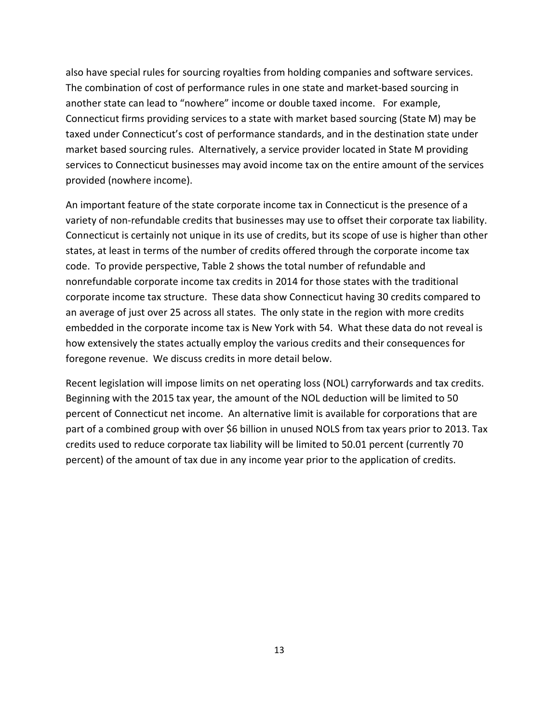also have special rules for sourcing royalties from holding companies and software services. The combination of cost of performance rules in one state and market-based sourcing in another state can lead to "nowhere" income or double taxed income. For example, Connecticut firms providing services to a state with market based sourcing (State M) may be taxed under Connecticut's cost of performance standards, and in the destination state under market based sourcing rules. Alternatively, a service provider located in State M providing services to Connecticut businesses may avoid income tax on the entire amount of the services provided (nowhere income).

An important feature of the state corporate income tax in Connecticut is the presence of a variety of non-refundable credits that businesses may use to offset their corporate tax liability. Connecticut is certainly not unique in its use of credits, but its scope of use is higher than other states, at least in terms of the number of credits offered through the corporate income tax code. To provide perspective, Table 2 shows the total number of refundable and nonrefundable corporate income tax credits in 2014 for those states with the traditional corporate income tax structure. These data show Connecticut having 30 credits compared to an average of just over 25 across all states. The only state in the region with more credits embedded in the corporate income tax is New York with 54. What these data do not reveal is how extensively the states actually employ the various credits and their consequences for foregone revenue. We discuss credits in more detail below.

Recent legislation will impose limits on net operating loss (NOL) carryforwards and tax credits. Beginning with the 2015 tax year, the amount of the NOL deduction will be limited to 50 percent of Connecticut net income. An alternative limit is available for corporations that are part of a combined group with over \$6 billion in unused NOLS from tax years prior to 2013. Tax credits used to reduce corporate tax liability will be limited to 50.01 percent (currently 70 percent) of the amount of tax due in any income year prior to the application of credits.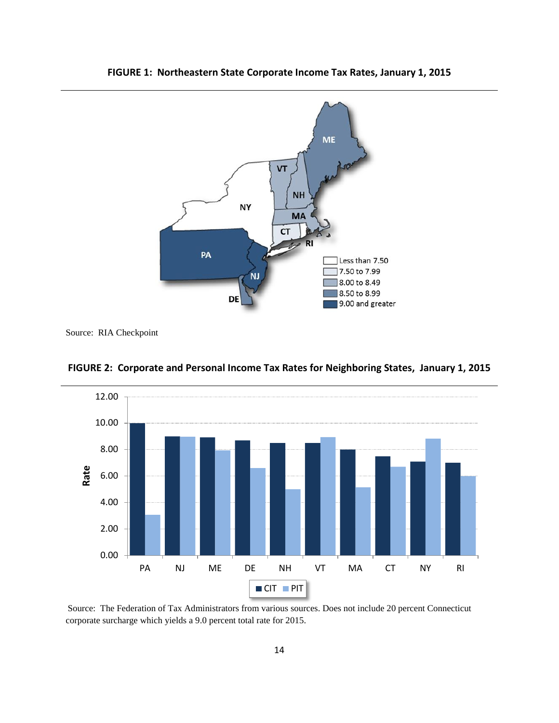

<span id="page-13-0"></span>**FIGURE 1: Northeastern State Corporate Income Tax Rates, January 1, 2015**



<span id="page-13-1"></span>**FIGURE 2: Corporate and Personal Income Tax Rates for Neighboring States, January 1, 2015**

Source: The Federation of Tax Administrators from various sources. Does not include 20 percent Connecticut corporate surcharge which yields a 9.0 percent total rate for 2015.

Source: RIA Checkpoint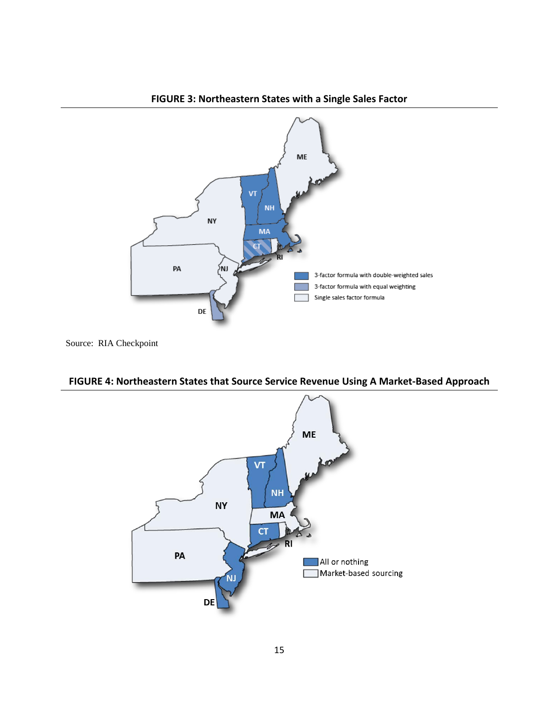<span id="page-14-0"></span>

**FIGURE 3: Northeastern States with a Single Sales Factor**



<span id="page-14-1"></span>**FIGURE 4: Northeastern States that Source Service Revenue Using A Market-Based Approach**

Source: RIA Checkpoint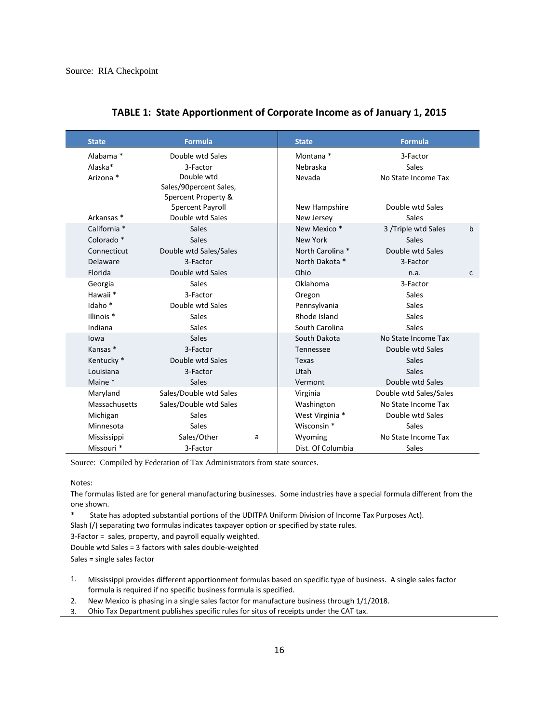<span id="page-15-0"></span>

| <b>State</b>          | <b>Formula</b>                       |   | <b>State</b>            | <b>Formula</b>         |              |
|-----------------------|--------------------------------------|---|-------------------------|------------------------|--------------|
| Alabama *             | Double wtd Sales                     |   | Montana *               | 3-Factor               |              |
| Alaska*               | 3-Factor                             |   | Nebraska                | Sales                  |              |
| Arizona *             | Double wtd<br>Sales/90percent Sales, |   | Nevada                  | No State Income Tax    |              |
|                       | <b>5percent Property &amp;</b>       |   |                         |                        |              |
|                       | <b>5percent Payroll</b>              |   | New Hampshire           | Double wtd Sales       |              |
| Arkansas *            | Double wtd Sales                     |   | New Jersey              | Sales                  |              |
| California *          | <b>Sales</b>                         |   | New Mexico <sup>*</sup> | 3 /Triple wtd Sales    | $\mathbf b$  |
| Colorado <sup>*</sup> | Sales                                |   | New York                | <b>Sales</b>           |              |
| Connecticut           | Double wtd Sales/Sales               |   | North Carolina *        | Double wtd Sales       |              |
| Delaware              | 3-Factor                             |   | North Dakota *          | 3-Factor               |              |
| Florida               | Double wtd Sales                     |   | Ohio                    | n.a.                   | $\mathsf{C}$ |
| Georgia               | Sales                                |   | Oklahoma                | 3-Factor               |              |
| Hawaii <sup>*</sup>   | 3-Factor                             |   | Oregon                  | <b>Sales</b>           |              |
| Idaho <sup>*</sup>    | Double wtd Sales                     |   | Pennsylvania            | <b>Sales</b>           |              |
| Illinois <sup>*</sup> | Sales                                |   | Rhode Island            | <b>Sales</b>           |              |
| Indiana               | Sales                                |   | South Carolina          | <b>Sales</b>           |              |
| lowa                  | <b>Sales</b>                         |   | South Dakota            | No State Income Tax    |              |
| Kansas <sup>*</sup>   | 3-Factor                             |   | Tennessee               | Double wtd Sales       |              |
| Kentucky <sup>*</sup> | Double wtd Sales                     |   | <b>Texas</b>            | <b>Sales</b>           |              |
| Louisiana             | 3-Factor                             |   | Utah                    | <b>Sales</b>           |              |
| Maine *               | <b>Sales</b>                         |   | Vermont                 | Double wtd Sales       |              |
| Maryland              | Sales/Double wtd Sales               |   | Virginia                | Double wtd Sales/Sales |              |
| Massachusetts         | Sales/Double wtd Sales               |   | Washington              | No State Income Tax    |              |
| Michigan              | <b>Sales</b>                         |   | West Virginia *         | Double wtd Sales       |              |
| Minnesota             | <b>Sales</b>                         |   | Wisconsin *             | Sales                  |              |
| Mississippi           | Sales/Other                          | a | Wyoming                 | No State Income Tax    |              |
| Missouri <sup>*</sup> | 3-Factor                             |   | Dist. Of Columbia       | Sales                  |              |

### **TABLE 1: State Apportionment of Corporate Income as of January 1, 2015**

Source: Compiled by Federation of Tax Administrators from state sources.

Notes:

The formulas listed are for general manufacturing businesses. Some industries have a special formula different from the one shown.

State has adopted substantial portions of the UDITPA Uniform Division of Income Tax Purposes Act).

Slash (/) separating two formulas indicates taxpayer option or specified by state rules.

3-Factor = sales, property, and payroll equally weighted.

Double wtd Sales = 3 factors with sales double-weighted

Sales = single sales factor

1. Mississippi provides different apportionment formulas based on specific type of business. A single sales factor formula is required if no specific business formula is specified.

2. New Mexico is phasing in a single sales factor for manufacture business through 1/1/2018.

3. Ohio Tax Department publishes specific rules for situs of receipts under the CAT tax.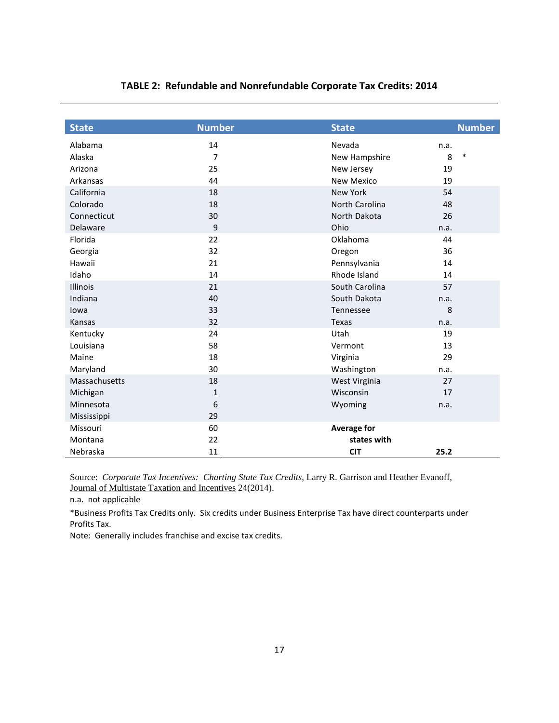<span id="page-16-0"></span>

| <b>State</b>    | <b>Number</b>  | <b>State</b>       | <b>Number</b> |
|-----------------|----------------|--------------------|---------------|
| Alabama         | 14             | Nevada             | n.a.          |
| Alaska          | $\overline{7}$ | New Hampshire      | 8<br>$\ast$   |
| Arizona         | 25             | New Jersey         | 19            |
| Arkansas        | 44             | New Mexico         | 19            |
| California      | 18             | New York           | 54            |
| Colorado        | 18             | North Carolina     | 48            |
| Connecticut     | 30             | North Dakota       | 26            |
| Delaware        | 9              | Ohio               | n.a.          |
| Florida         | 22             | Oklahoma           | 44            |
| Georgia         | 32             | Oregon             | 36            |
| Hawaii          | 21             | Pennsylvania       | 14            |
| Idaho           | 14             | Rhode Island       | 14            |
| <b>Illinois</b> | 21             | South Carolina     | 57            |
| Indiana         | 40             | South Dakota       | n.a.          |
| lowa            | 33             | Tennessee          | 8             |
| <b>Kansas</b>   | 32             | <b>Texas</b>       | n.a.          |
| Kentucky        | 24             | Utah               | 19            |
| Louisiana       | 58             | Vermont            | 13            |
| Maine           | 18             | Virginia           | 29            |
| Maryland        | 30             | Washington         | n.a.          |
| Massachusetts   | 18             | West Virginia      | 27            |
| Michigan        | $\mathbf{1}$   | Wisconsin          | 17            |
| Minnesota       | 6              | Wyoming            | n.a.          |
| Mississippi     | 29             |                    |               |
| Missouri        | 60             | <b>Average for</b> |               |
| Montana         | 22             | states with        |               |
| Nebraska        | 11             | <b>CIT</b>         | 25.2          |

### **TABLE 2: Refundable and Nonrefundable Corporate Tax Credits: 2014**

Source: *Corporate Tax Incentives: Charting State Tax Credits*, Larry R. Garrison and Heather Evanoff, Journal of Multistate Taxation and Incentives 24(2014).

n.a. not applicable

\*Business Profits Tax Credits only. Six credits under Business Enterprise Tax have direct counterparts under Profits Tax.

Note: Generally includes franchise and excise tax credits.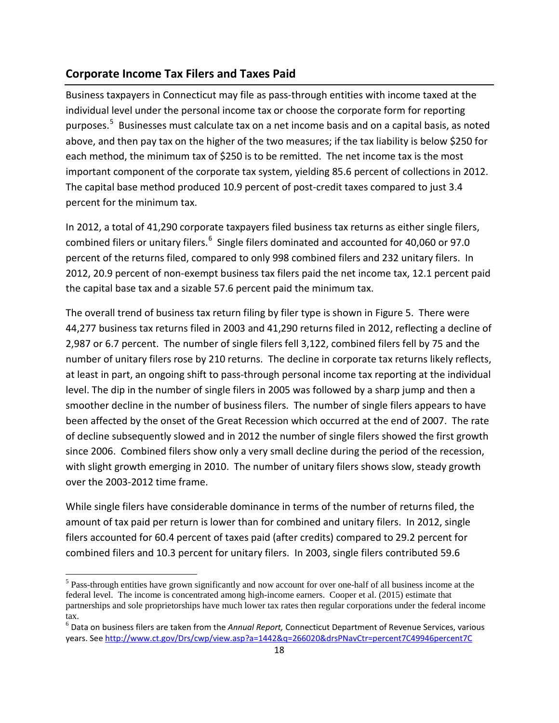### <span id="page-17-0"></span>**Corporate Income Tax Filers and Taxes Paid**

Business taxpayers in Connecticut may file as pass-through entities with income taxed at the individual level under the personal income tax or choose the corporate form for reporting purposes.<sup>[5](#page-17-1)</sup> Businesses must calculate tax on a net income basis and on a capital basis, as noted above, and then pay tax on the higher of the two measures; if the tax liability is below \$250 for each method, the minimum tax of \$250 is to be remitted. The net income tax is the most important component of the corporate tax system, yielding 85.6 percent of collections in 2012. The capital base method produced 10.9 percent of post-credit taxes compared to just 3.4 percent for the minimum tax.

In 2012, a total of 41,290 corporate taxpayers filed business tax returns as either single filers, combined filers or unitary filers.<sup>[6](#page-17-2)</sup> Single filers dominated and accounted for 40,060 or 97.0 percent of the returns filed, compared to only 998 combined filers and 232 unitary filers. In 2012, 20.9 percent of non-exempt business tax filers paid the net income tax, 12.1 percent paid the capital base tax and a sizable 57.6 percent paid the minimum tax.

The overall trend of business tax return filing by filer type is shown in Figure 5. There were 44,277 business tax returns filed in 2003 and 41,290 returns filed in 2012, reflecting a decline of 2,987 or 6.7 percent. The number of single filers fell 3,122, combined filers fell by 75 and the number of unitary filers rose by 210 returns. The decline in corporate tax returns likely reflects, at least in part, an ongoing shift to pass-through personal income tax reporting at the individual level. The dip in the number of single filers in 2005 was followed by a sharp jump and then a smoother decline in the number of business filers. The number of single filers appears to have been affected by the onset of the Great Recession which occurred at the end of 2007. The rate of decline subsequently slowed and in 2012 the number of single filers showed the first growth since 2006. Combined filers show only a very small decline during the period of the recession, with slight growth emerging in 2010. The number of unitary filers shows slow, steady growth over the 2003-2012 time frame.

While single filers have considerable dominance in terms of the number of returns filed, the amount of tax paid per return is lower than for combined and unitary filers. In 2012, single filers accounted for 60.4 percent of taxes paid (after credits) compared to 29.2 percent for combined filers and 10.3 percent for unitary filers. In 2003, single filers contributed 59.6

<span id="page-17-1"></span><sup>&</sup>lt;sup>5</sup> Pass-through entities have grown significantly and now account for over one-half of all business income at the federal level. The income is concentrated among high-income earners. Cooper et al. (2015) estimate that partnerships and sole proprietorships have much lower tax rates then regular corporations under the federal income tax.

<span id="page-17-2"></span><sup>6</sup> Data on business filers are taken from the *Annual Report,* Connecticut Department of Revenue Services, various years. See [http://www.ct.gov/Drs/cwp/view.asp?a=1442&q=266020&drsPNavCtr=percent7C49946percent7C](http://www.ct.gov/Drs/cwp/view.asp?a=1442&q=266020&drsPNavCtr=%7C49946%7C)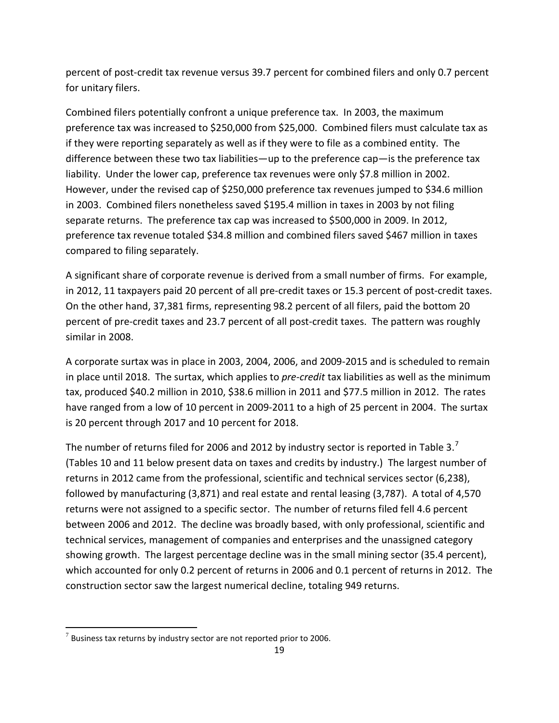percent of post-credit tax revenue versus 39.7 percent for combined filers and only 0.7 percent for unitary filers.

Combined filers potentially confront a unique preference tax. In 2003, the maximum preference tax was increased to \$250,000 from \$25,000. Combined filers must calculate tax as if they were reporting separately as well as if they were to file as a combined entity. The difference between these two tax liabilities—up to the preference cap—is the preference tax liability. Under the lower cap, preference tax revenues were only \$7.8 million in 2002. However, under the revised cap of \$250,000 preference tax revenues jumped to \$34.6 million in 2003. Combined filers nonetheless saved \$195.4 million in taxes in 2003 by not filing separate returns. The preference tax cap was increased to \$500,000 in 2009. In 2012, preference tax revenue totaled \$34.8 million and combined filers saved \$467 million in taxes compared to filing separately.

A significant share of corporate revenue is derived from a small number of firms. For example, in 2012, 11 taxpayers paid 20 percent of all pre-credit taxes or 15.3 percent of post-credit taxes. On the other hand, 37,381 firms, representing 98.2 percent of all filers, paid the bottom 20 percent of pre-credit taxes and 23.7 percent of all post-credit taxes. The pattern was roughly similar in 2008.

A corporate surtax was in place in 2003, 2004, 2006, and 2009-2015 and is scheduled to remain in place until 2018. The surtax, which applies to *pre-credit* tax liabilities as well as the minimum tax, produced \$40.2 million in 2010, \$38.6 million in 2011 and \$77.5 million in 2012. The rates have ranged from a low of 10 percent in 2009-2011 to a high of 25 percent in 2004. The surtax is 20 percent through 2017 and 10 percent for 2018.

The number of returns filed for 2006 and 2012 by industry sector is reported in Table 3.<sup>[7](#page-18-0)</sup> (Tables 10 and 11 below present data on taxes and credits by industry.) The largest number of returns in 2012 came from the professional, scientific and technical services sector (6,238), followed by manufacturing (3,871) and real estate and rental leasing (3,787). A total of 4,570 returns were not assigned to a specific sector. The number of returns filed fell 4.6 percent between 2006 and 2012. The decline was broadly based, with only professional, scientific and technical services, management of companies and enterprises and the unassigned category showing growth. The largest percentage decline was in the small mining sector (35.4 percent), which accounted for only 0.2 percent of returns in 2006 and 0.1 percent of returns in 2012. The construction sector saw the largest numerical decline, totaling 949 returns.

 $\overline{\phantom{a}}$ 

<span id="page-18-0"></span> $7$  Business tax returns by industry sector are not reported prior to 2006.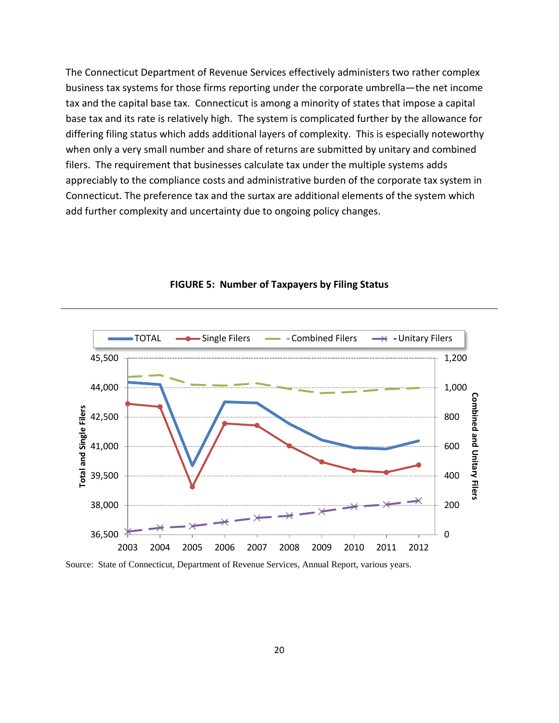The Connecticut Department of Revenue Services effectively administers two rather complex business tax systems for those firms reporting under the corporate umbrella—the net income tax and the capital base tax. Connecticut is among a minority of states that impose a capital base tax and its rate is relatively high. The system is complicated further by the allowance for differing filing status which adds additional layers of complexity. This is especially noteworthy when only a very small number and share of returns are submitted by unitary and combined filers. The requirement that businesses calculate tax under the multiple systems adds appreciably to the compliance costs and administrative burden of the corporate tax system in Connecticut. The preference tax and the surtax are additional elements of the system which add further complexity and uncertainty due to ongoing policy changes.

<span id="page-19-0"></span>

**FIGURE 5: Number of Taxpayers by Filing Status**

Source: State of Connecticut, Department of Revenue Services, Annual Report, various years.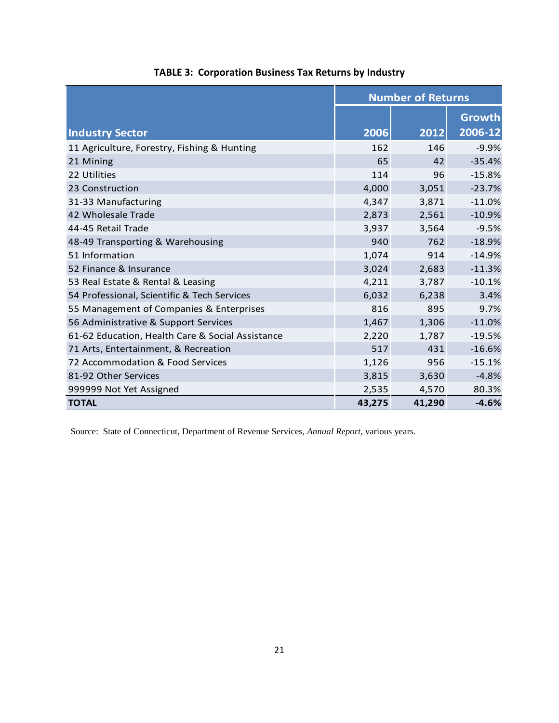<span id="page-20-0"></span>

|                                                  | <b>Number of Returns</b> |        |                          |  |  |  |  |
|--------------------------------------------------|--------------------------|--------|--------------------------|--|--|--|--|
| <b>Industry Sector</b>                           | 2006                     | 2012   | <b>Growth</b><br>2006-12 |  |  |  |  |
| 11 Agriculture, Forestry, Fishing & Hunting      | 162                      | 146    | $-9.9%$                  |  |  |  |  |
| 21 Mining                                        | 65                       | 42     | $-35.4%$                 |  |  |  |  |
| 22 Utilities                                     | 114                      | 96     | $-15.8%$                 |  |  |  |  |
| 23 Construction                                  | 4,000                    | 3,051  | $-23.7%$                 |  |  |  |  |
| 31-33 Manufacturing                              | 4,347                    | 3,871  | $-11.0%$                 |  |  |  |  |
| 42 Wholesale Trade                               | 2,873                    | 2,561  | $-10.9%$                 |  |  |  |  |
| 44-45 Retail Trade                               | 3,937                    | 3,564  | $-9.5%$                  |  |  |  |  |
| 48-49 Transporting & Warehousing                 | 940                      | 762    | $-18.9%$                 |  |  |  |  |
| 51 Information                                   | 1,074                    | 914    | $-14.9%$                 |  |  |  |  |
| 52 Finance & Insurance                           | 3,024                    | 2,683  | $-11.3%$                 |  |  |  |  |
| 53 Real Estate & Rental & Leasing                | 4,211                    | 3,787  | $-10.1%$                 |  |  |  |  |
| 54 Professional, Scientific & Tech Services      | 6,032                    | 6,238  | 3.4%                     |  |  |  |  |
| 55 Management of Companies & Enterprises         | 816                      | 895    | 9.7%                     |  |  |  |  |
| 56 Administrative & Support Services             | 1,467                    | 1,306  | $-11.0%$                 |  |  |  |  |
| 61-62 Education, Health Care & Social Assistance | 2,220                    | 1,787  | $-19.5%$                 |  |  |  |  |
| 71 Arts, Entertainment, & Recreation             | 517                      | 431    | $-16.6%$                 |  |  |  |  |
| 72 Accommodation & Food Services                 | 1,126                    | 956    | $-15.1%$                 |  |  |  |  |
| 81-92 Other Services                             | 3,815                    | 3,630  | $-4.8%$                  |  |  |  |  |
| 999999 Not Yet Assigned                          | 2,535                    | 4,570  | 80.3%                    |  |  |  |  |
| <b>TOTAL</b>                                     | 43,275                   | 41,290 | $-4.6%$                  |  |  |  |  |

**TABLE 3: Corporation Business Tax Returns by Industry**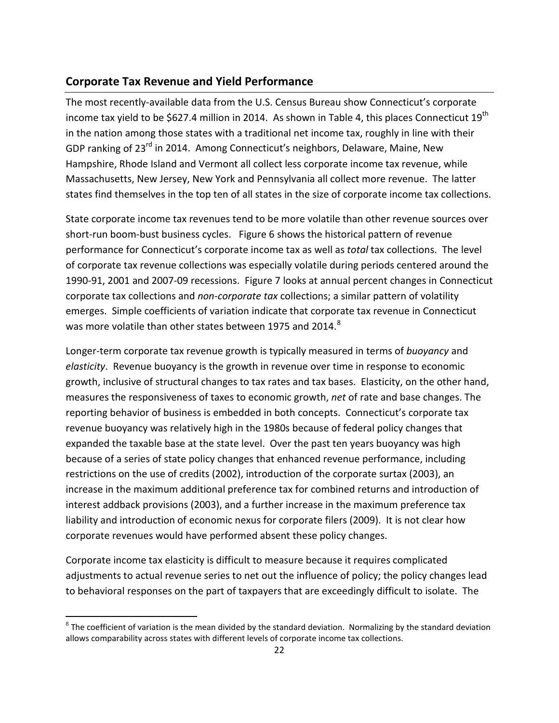### <span id="page-21-0"></span>**Corporate Tax Revenue and Yield Performance**

The most recently-available data from the U.S. Census Bureau show Connecticut's corporate income tax yield to be \$627.4 million in 2014. As shown in Table 4, this places Connecticut 19<sup>th</sup> in the nation among those states with a traditional net income tax, roughly in line with their GDP ranking of 23rd in 2014. Among Connecticut's neighbors, Delaware, Maine, New Hampshire, Rhode Island and Vermont all collect less corporate income tax revenue, while Massachusetts, New Jersey, New York and Pennsylvania all collect more revenue. The latter states find themselves in the top ten of all states in the size of corporate income tax collections.

State corporate income tax revenues tend to be more volatile than other revenue sources over short-run boom-bust business cycles. Figure 6 shows the historical pattern of revenue performance for Connecticut's corporate income tax as well as *total* tax collections. The level of corporate tax revenue collections was especially volatile during periods centered around the 1990-91, 2001 and 2007-09 recessions. Figure 7 looks at annual percent changes in Connecticut corporate tax collections and *non-corporate tax* collections; a similar pattern of volatility emerges. Simple coefficients of variation indicate that corporate tax revenue in Connecticut was more volatile than other states between 1975 and 2014.<sup>[8](#page-21-1)</sup>

Longer-term corporate tax revenue growth is typically measured in terms of *buoyancy* and *elasticity*. Revenue buoyancy is the growth in revenue over time in response to economic growth, inclusive of structural changes to tax rates and tax bases. Elasticity, on the other hand, measures the responsiveness of taxes to economic growth, *net* of rate and base changes. The reporting behavior of business is embedded in both concepts. Connecticut's corporate tax revenue buoyancy was relatively high in the 1980s because of federal policy changes that expanded the taxable base at the state level. Over the past ten years buoyancy was high because of a series of state policy changes that enhanced revenue performance, including restrictions on the use of credits (2002), introduction of the corporate surtax (2003), an increase in the maximum additional preference tax for combined returns and introduction of interest addback provisions (2003), and a further increase in the maximum preference tax liability and introduction of economic nexus for corporate filers (2009). It is not clear how corporate revenues would have performed absent these policy changes.

Corporate income tax elasticity is difficult to measure because it requires complicated adjustments to actual revenue series to net out the influence of policy; the policy changes lead to behavioral responses on the part of taxpayers that are exceedingly difficult to isolate. The

l

<span id="page-21-1"></span> $8$  The coefficient of variation is the mean divided by the standard deviation. Normalizing by the standard deviation allows comparability across states with different levels of corporate income tax collections.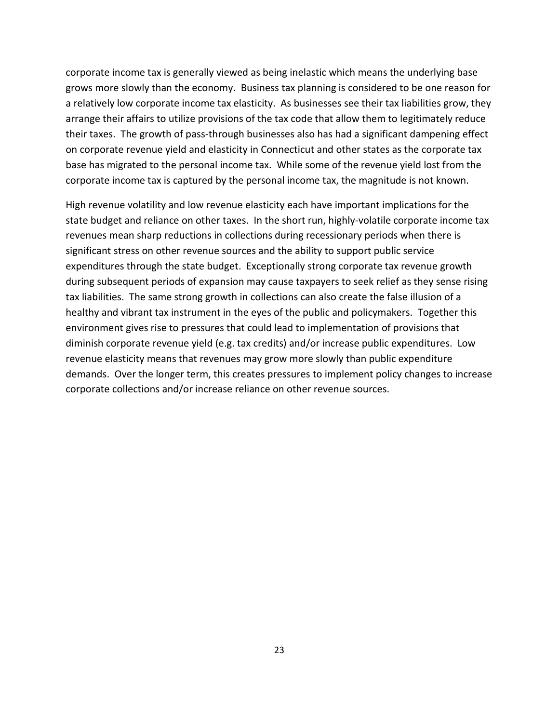corporate income tax is generally viewed as being inelastic which means the underlying base grows more slowly than the economy. Business tax planning is considered to be one reason for a relatively low corporate income tax elasticity. As businesses see their tax liabilities grow, they arrange their affairs to utilize provisions of the tax code that allow them to legitimately reduce their taxes. The growth of pass-through businesses also has had a significant dampening effect on corporate revenue yield and elasticity in Connecticut and other states as the corporate tax base has migrated to the personal income tax. While some of the revenue yield lost from the corporate income tax is captured by the personal income tax, the magnitude is not known.

High revenue volatility and low revenue elasticity each have important implications for the state budget and reliance on other taxes. In the short run, highly-volatile corporate income tax revenues mean sharp reductions in collections during recessionary periods when there is significant stress on other revenue sources and the ability to support public service expenditures through the state budget. Exceptionally strong corporate tax revenue growth during subsequent periods of expansion may cause taxpayers to seek relief as they sense rising tax liabilities. The same strong growth in collections can also create the false illusion of a healthy and vibrant tax instrument in the eyes of the public and policymakers. Together this environment gives rise to pressures that could lead to implementation of provisions that diminish corporate revenue yield (e.g. tax credits) and/or increase public expenditures. Low revenue elasticity means that revenues may grow more slowly than public expenditure demands. Over the longer term, this creates pressures to implement policy changes to increase corporate collections and/or increase reliance on other revenue sources.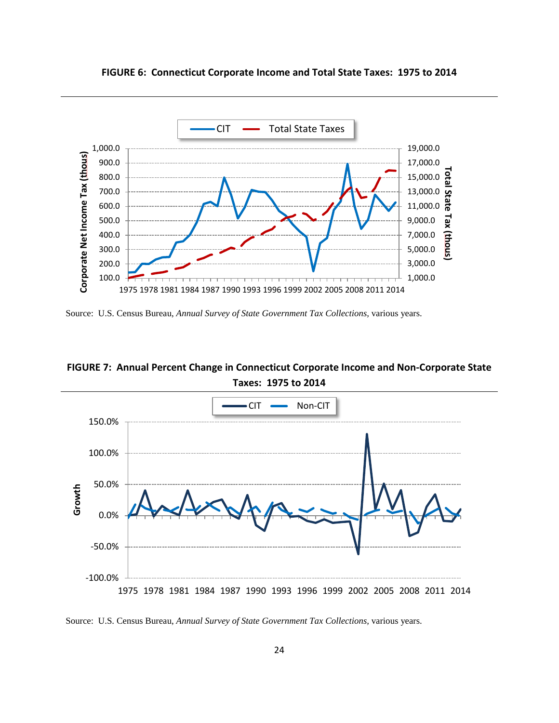<span id="page-23-0"></span>**FIGURE 6: Connecticut Corporate Income and Total State Taxes: 1975 to 2014**



Source: U.S. Census Bureau, *Annual Survey of State Government Tax Collections,* various years.

<span id="page-23-1"></span>**FIGURE 7: Annual Percent Change in Connecticut Corporate Income and Non-Corporate State Taxes: 1975 to 2014**



Source: U.S. Census Bureau, *Annual Survey of State Government Tax Collections,* various years.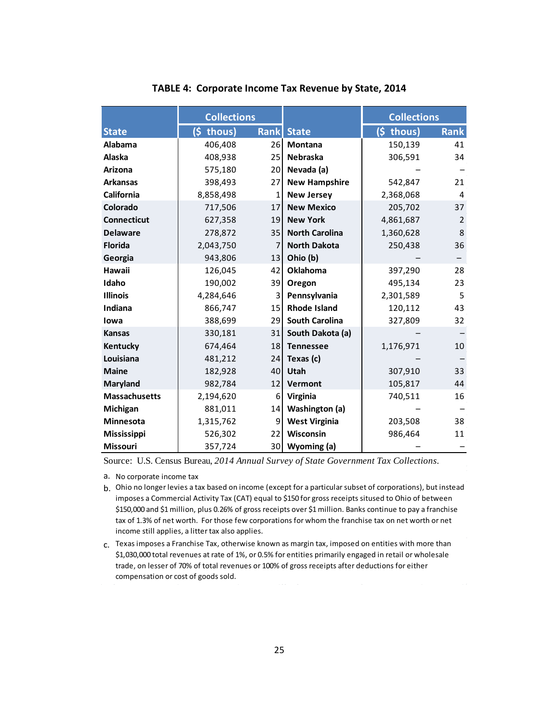<span id="page-24-0"></span>

|                      | <b>Collections</b> |             |                       | <b>Collections</b> |             |
|----------------------|--------------------|-------------|-----------------------|--------------------|-------------|
| <b>State</b>         | $(s$ thous)        | <b>Rank</b> | <b>State</b>          | $(s$ thous)        | <b>Rank</b> |
| Alabama              | 406,408            | 26          | <b>Montana</b>        | 150,139            | 41          |
| Alaska               | 408,938            | 25          | <b>Nebraska</b>       | 306,591            | 34          |
| Arizona              | 575,180            | 20          | Nevada (a)            |                    |             |
| <b>Arkansas</b>      | 398,493            | 27          | <b>New Hampshire</b>  | 542,847            | 21          |
| <b>California</b>    | 8,858,498          | 1           | <b>New Jersey</b>     | 2,368,068          | 4           |
| Colorado             | 717,506            | 17          | <b>New Mexico</b>     | 205,702            | 37          |
| <b>Connecticut</b>   | 627,358            | 19          | <b>New York</b>       | 4,861,687          | 2           |
| <b>Delaware</b>      | 278,872            | 35          | <b>North Carolina</b> | 1,360,628          | 8           |
| <b>Florida</b>       | 2,043,750          | 7           | <b>North Dakota</b>   | 250,438            | 36          |
| Georgia              | 943,806            | 13          | Ohio (b)              |                    |             |
| Hawaii               | 126,045            | 42          | <b>Oklahoma</b>       | 397,290            | 28          |
| Idaho                | 190,002            | 39          | Oregon                | 495,134            | 23          |
| <b>Illinois</b>      | 4,284,646          | 3           | Pennsylvania          | 2,301,589          | 5           |
| Indiana              | 866,747            | 15          | <b>Rhode Island</b>   | 120,112            | 43          |
| lowa                 | 388,699            | 29          | <b>South Carolina</b> | 327,809            | 32          |
| <b>Kansas</b>        | 330,181            | 31          | South Dakota (a)      |                    |             |
| Kentucky             | 674,464            | 18          | <b>Tennessee</b>      | 1,176,971          | 10          |
| Louisiana            | 481,212            | 24          | Texas (c)             |                    |             |
| <b>Maine</b>         | 182,928            | 40          | Utah                  | 307,910            | 33          |
| Maryland             | 982,784            | 12          | Vermont               | 105,817            | 44          |
| <b>Massachusetts</b> | 2,194,620          | 6           | Virginia              | 740,511            | 16          |
| Michigan             | 881,011            | 14          | Washington (a)        |                    |             |
| Minnesota            | 1,315,762          | 9           | <b>West Virginia</b>  | 203,508            | 38          |
| <b>Mississippi</b>   | 526,302            | 22          | Wisconsin             | 986,464            | 11          |
| <b>Missouri</b>      | 357,724            | 30          | Wyoming (a)           |                    |             |

### **TABLE 4: Corporate Income Tax Revenue by State, 2014**

Source: U.S. Census Bureau, *2014 Annual Survey of State Government Tax Collections.*

a. No corporate income tax

b. Ohio no longer levies a tax based on income (except for a particular subset of corporations), but instead imposes a Commercial Activity Tax (CAT) equal to \$150 for gross receipts sitused to Ohio of between \$150,000 and \$1 million, plus 0.26% of gross receipts over \$1 million. Banks continue to pay a franchise tax of 1.3% of net worth. For those few corporations for whom the franchise tax on net worth or net income still applies, a litter tax also applies.

c. Texas imposes a Franchise Tax, otherwise known as margin tax, imposed on entities with more than \$1,030,000 total revenues at rate of 1%, or 0.5% for entities primarily engaged in retail or wholesale trade, on lesser of 70% of total revenues or 100% of gross receipts after deductions for either compensation or cost of goods sold.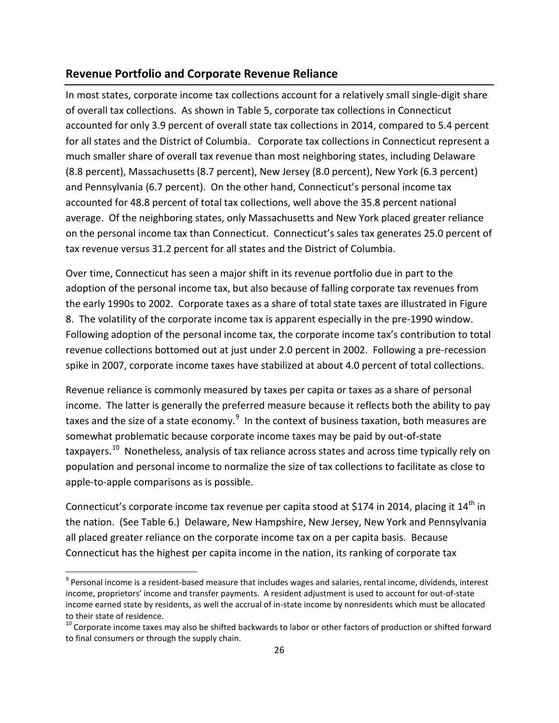## <span id="page-25-0"></span>**Revenue Portfolio and Corporate Revenue Reliance**

In most states, corporate income tax collections account for a relatively small single-digit share of overall tax collections. As shown in Table 5, corporate tax collections in Connecticut accounted for only 3.9 percent of overall state tax collections in 2014, compared to 5.4 percent for all states and the District of Columbia. Corporate tax collections in Connecticut represent a much smaller share of overall tax revenue than most neighboring states, including Delaware (8.8 percent), Massachusetts (8.7 percent), New Jersey (8.0 percent), New York (6.3 percent) and Pennsylvania (6.7 percent). On the other hand, Connecticut's personal income tax accounted for 48.8 percent of total tax collections, well above the 35.8 percent national average. Of the neighboring states, only Massachusetts and New York placed greater reliance on the personal income tax than Connecticut. Connecticut's sales tax generates 25.0 percent of tax revenue versus 31.2 percent for all states and the District of Columbia.

Over time, Connecticut has seen a major shift in its revenue portfolio due in part to the adoption of the personal income tax, but also because of falling corporate tax revenues from the early 1990s to 2002. Corporate taxes as a share of total state taxes are illustrated in Figure 8. The volatility of the corporate income tax is apparent especially in the pre-1990 window. Following adoption of the personal income tax, the corporate income tax's contribution to total revenue collections bottomed out at just under 2.0 percent in 2002. Following a pre-recession spike in 2007, corporate income taxes have stabilized at about 4.0 percent of total collections.

Revenue reliance is commonly measured by taxes per capita or taxes as a share of personal income. The latter is generally the preferred measure because it reflects both the ability to pay taxes and the size of a state economy.<sup>[9](#page-25-1)</sup> In the context of business taxation, both measures are somewhat problematic because corporate income taxes may be paid by out-of-state taxpayers.<sup>[10](#page-25-2)</sup> Nonetheless, analysis of tax reliance across states and across time typically rely on population and personal income to normalize the size of tax collections to facilitate as close to apple-to-apple comparisons as is possible.

Connecticut's corporate income tax revenue per capita stood at \$174 in 2014, placing it 14<sup>th</sup> in the nation. (See Table 6.) Delaware, New Hampshire, New Jersey, New York and Pennsylvania all placed greater reliance on the corporate income tax on a per capita basis. Because Connecticut has the highest per capita income in the nation, its ranking of corporate tax

<span id="page-25-1"></span> $9$  Personal income is a resident-based measure that includes wages and salaries, rental income, dividends, interest income, proprietors' income and transfer payments. A resident adjustment is used to account for out-of-state income earned state by residents, as well the accrual of in-state income by nonresidents which must be allocated to their state of residence.

<span id="page-25-2"></span> $10$  Corporate income taxes may also be shifted backwards to labor or other factors of production or shifted forward to final consumers or through the supply chain.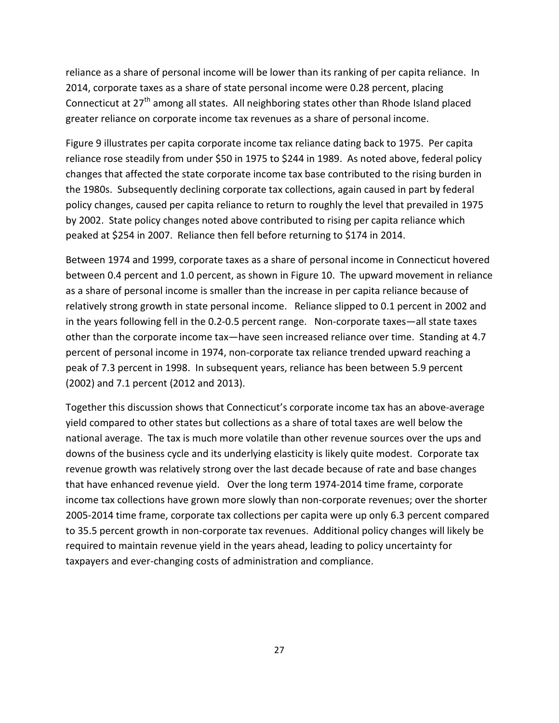reliance as a share of personal income will be lower than its ranking of per capita reliance. In 2014, corporate taxes as a share of state personal income were 0.28 percent, placing Connecticut at  $27<sup>th</sup>$  among all states. All neighboring states other than Rhode Island placed greater reliance on corporate income tax revenues as a share of personal income.

Figure 9 illustrates per capita corporate income tax reliance dating back to 1975. Per capita reliance rose steadily from under \$50 in 1975 to \$244 in 1989. As noted above, federal policy changes that affected the state corporate income tax base contributed to the rising burden in the 1980s. Subsequently declining corporate tax collections, again caused in part by federal policy changes, caused per capita reliance to return to roughly the level that prevailed in 1975 by 2002. State policy changes noted above contributed to rising per capita reliance which peaked at \$254 in 2007. Reliance then fell before returning to \$174 in 2014.

Between 1974 and 1999, corporate taxes as a share of personal income in Connecticut hovered between 0.4 percent and 1.0 percent, as shown in Figure 10. The upward movement in reliance as a share of personal income is smaller than the increase in per capita reliance because of relatively strong growth in state personal income. Reliance slipped to 0.1 percent in 2002 and in the years following fell in the 0.2-0.5 percent range. Non-corporate taxes—all state taxes other than the corporate income tax—have seen increased reliance over time. Standing at 4.7 percent of personal income in 1974, non-corporate tax reliance trended upward reaching a peak of 7.3 percent in 1998. In subsequent years, reliance has been between 5.9 percent (2002) and 7.1 percent (2012 and 2013).

Together this discussion shows that Connecticut's corporate income tax has an above-average yield compared to other states but collections as a share of total taxes are well below the national average. The tax is much more volatile than other revenue sources over the ups and downs of the business cycle and its underlying elasticity is likely quite modest. Corporate tax revenue growth was relatively strong over the last decade because of rate and base changes that have enhanced revenue yield. Over the long term 1974-2014 time frame, corporate income tax collections have grown more slowly than non-corporate revenues; over the shorter 2005-2014 time frame, corporate tax collections per capita were up only 6.3 percent compared to 35.5 percent growth in non-corporate tax revenues. Additional policy changes will likely be required to maintain revenue yield in the years ahead, leading to policy uncertainty for taxpayers and ever-changing costs of administration and compliance.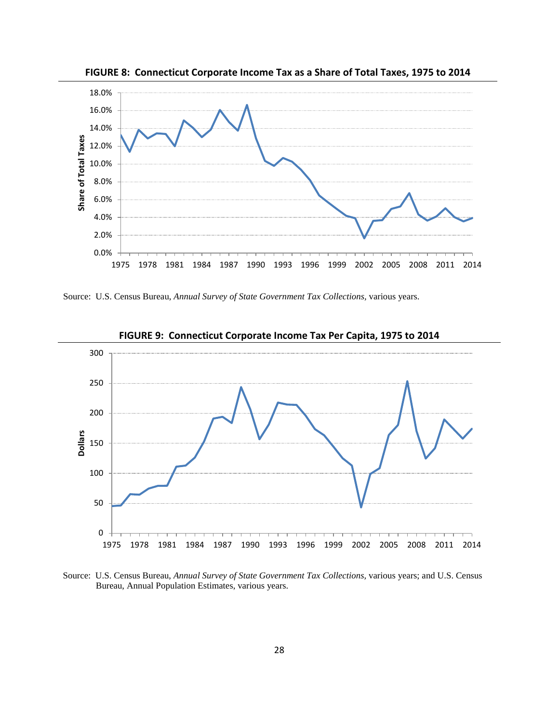<span id="page-27-0"></span>

**FIGURE 8: Connecticut Corporate Income Tax as a Share of Total Taxes, 1975 to 2014**

Source: U.S. Census Bureau, *Annual Survey of State Government Tax Collections,* various years.

<span id="page-27-1"></span>

**FIGURE 9: Connecticut Corporate Income Tax Per Capita, 1975 to 2014**

Source: U.S. Census Bureau, *Annual Survey of State Government Tax Collections,* various years; and U.S. Census Bureau, Annual Population Estimates, various years.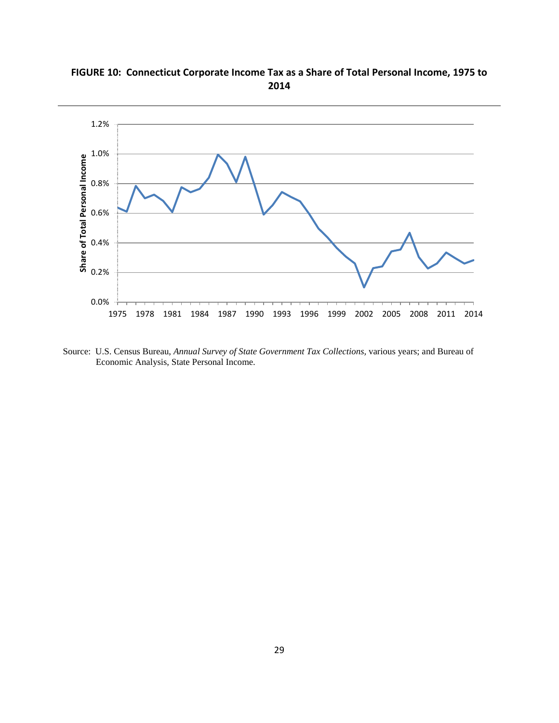

<span id="page-28-1"></span><span id="page-28-0"></span>**FIGURE 10: Connecticut Corporate Income Tax as a Share of Total Personal Income, 1975 to 2014**

Source: U.S. Census Bureau, *Annual Survey of State Government Tax Collections,* various years; and Bureau of Economic Analysis, State Personal Income.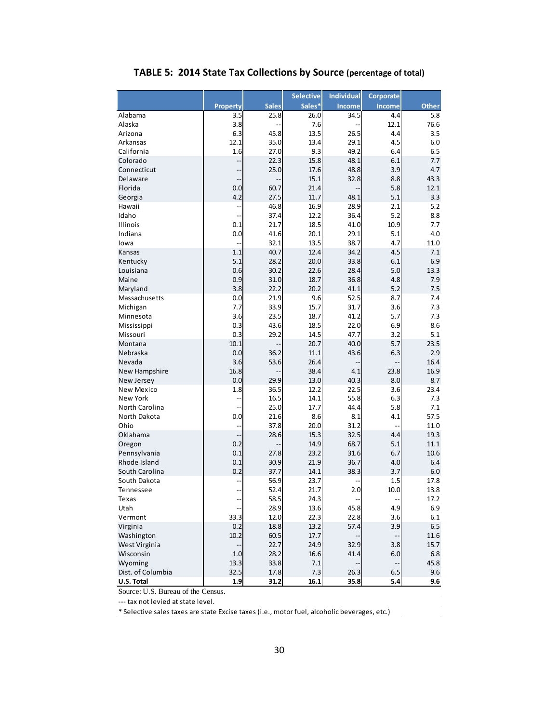<span id="page-29-0"></span>

|                        |                          |              | <b>Selective</b> | <b>Individual</b> | <b>Corporate</b>         |              |
|------------------------|--------------------------|--------------|------------------|-------------------|--------------------------|--------------|
|                        | <b>Property</b>          | <b>Sales</b> | Sales*           | <b>Income</b>     | <b>Income</b>            | <b>Other</b> |
| Alabama                | 3.5                      | 25.8         | 26.0             | 34.5              | 4.4                      | 5.8          |
| Alaska                 | 3.8                      |              | 7.6              |                   | 12.1                     | 76.6         |
| Arizona                | 6.3                      | 45.8         | 13.5             | 26.5              | 4.4                      | 3.5          |
| Arkansas               | 12.1                     | 35.0         | 13.4             | 29.1              | 4.5                      | 6.0          |
| California             | 1.6                      | 27.0         | 9.3              | 49.2              | 6.4                      | 6.5          |
| Colorado               | --                       | 22.3         | 15.8             | 48.1              | 6.1                      | 7.7          |
| Connecticut            |                          | 25.0         | 17.6             | 48.8              | 3.9                      | 4.7          |
| Delaware               | --                       |              | 15.1             | 32.8              | 8.8                      | 43.3         |
| Florida                | 0.0<br>4.2               | 60.7<br>27.5 | 21.4<br>11.7     |                   | 5.8<br>5.1               | 12.1<br>3.3  |
| Georgia<br>Hawaii      |                          | 46.8         | 16.9             | 48.1<br>28.9      | 2.1                      | 5.2          |
| Idaho                  | --<br>--                 | 37.4         | 12.2             | 36.4              | 5.2                      | 8.8          |
| Illinois               | 0.1                      | 21.7         | 18.5             | 41.0              | 10.9                     | 7.7          |
| Indiana                | 0.0                      | 41.6         | 20.1             | 29.1              | 5.1                      | 4.0          |
| lowa                   |                          | 32.1         | 13.5             | 38.7              | 4.7                      | 11.0         |
| Kansas                 | 1.1                      | 40.7         | 12.4             | 34.2              | 4.5                      | 7.1          |
| Kentucky               | 5.1                      | 28.2         | 20.0             | 33.8              | 6.1                      | 6.9          |
| Louisiana              | 0.6                      | 30.2         | 22.6             | 28.4              | 5.0                      | 13.3         |
| Maine                  | 0.9                      | 31.0         | 18.7             | 36.8              | 4.8                      | 7.9          |
| Maryland               | 3.8                      | 22.2         | 20.2             | 41.1              | 5.2                      | 7.5          |
| Massachusetts          | 0.0                      | 21.9         | 9.6              | 52.5              | 8.7                      | 7.4          |
| Michigan               | 7.7                      | 33.9         | 15.7             | 31.7              | 3.6                      | 7.3          |
| Minnesota              | 3.6                      | 23.5         | 18.7             | 41.2              | 5.7                      | 7.3          |
| Mississippi            | 0.3                      | 43.6         | 18.5             | 22.0              | 6.9                      | 8.6          |
| Missouri               | 0.3                      | 29.2         | 14.5             | 47.7              | 3.2                      | 5.1          |
| Montana                | 10.1                     | --           | 20.7             | 40.0              | 5.7                      | 23.5         |
| Nebraska               | 0.0                      | 36.2         | 11.1             | 43.6              | 6.3                      | 2.9          |
| Nevada                 | 3.6                      | 53.6         | 26.4             |                   |                          | 16.4         |
| New Hampshire          | 16.8                     |              | 38.4             | 4.1               | 23.8                     | 16.9         |
| New Jersey             | 0.0                      | 29.9         | 13.0             | 40.3              | 8.0                      | 8.7          |
| New Mexico             | 1.8                      | 36.5         | 12.2             | 22.5              | 3.6                      | 23.4         |
| New York               | --                       | 16.5         | 14.1             | 55.8              | 6.3                      | 7.3          |
| North Carolina         |                          | 25.0         | 17.7             | 44.4              | 5.8                      | 7.1          |
| North Dakota           | 0.0                      | 21.6         | 8.6              | 8.1               | 4.1                      | 57.5         |
| Ohio<br>Oklahama       | $-1$                     | 37.8         | 20.0<br>15.3     | 31.2<br>32.5      | Ξ.                       | 11.0<br>19.3 |
|                        | 0.2                      | 28.6         | 14.9             | 68.7              | 4.4<br>5.1               | 11.1         |
| Oregon<br>Pennsylvania | 0.1                      | 27.8         | 23.2             | 31.6              | 6.7                      | 10.6         |
| Rhode Island           | 0.1                      | 30.9         | 21.9             | 36.7              | 4.0                      | 6.4          |
| South Carolina         | 0.2                      | 37.7         | 14.1             | 38.3              | 3.7                      | 6.0          |
| South Dakota           |                          | 56.9         | 23.7             |                   | 1.5                      | 17.8         |
| <b>Tennessee</b>       | --                       | 52.4         | 21.7             | 2.0               | 10.0                     | 13.8         |
| Texas                  |                          | 58.5         | 24.3             |                   |                          | 17.2         |
| Utah                   |                          | 28.9         | 13.6             | 45.8              | 4.9                      | 6.9          |
| Vermont                | 33.3                     | 12.0         | 22.3             | 22.8              | 3.6                      | 6.1          |
| Virginia               | 0.2                      | 18.8         | 13.2             | 57.4              | 3.9                      | 6.5          |
| Washington             | 10.2                     | 60.5         | 17.7             |                   | --                       | 11.6         |
| West Virginia          | $\overline{\phantom{a}}$ | 22.7         | 24.9             | 32.9              | 3.8                      | 15.7         |
| Wisconsin              | 1.0                      | 28.2         | 16.6             | 41.4              | 6.0                      | 6.8          |
| Wyoming                | 13.3                     | 33.8         | 7.1              |                   | $\overline{\phantom{a}}$ | 45.8         |
| Dist. of Columbia      | 32.5                     | 17.8         | 7.3              | 26.3              | 6.5                      | 9.6          |
| U.S. Total             | 1.9                      | 31.2         | 16.1             | 35.8              | 5.4                      | 9.6          |

# **TABLE 5: 2014 State Tax Collections by Source (percentage of total)**

Source: U.S. Bureau of the Census.

--- tax not levied at state level.

\* Selective sales taxes are state Excise taxes (i.e., motor fuel, alcoholic beverages, etc.)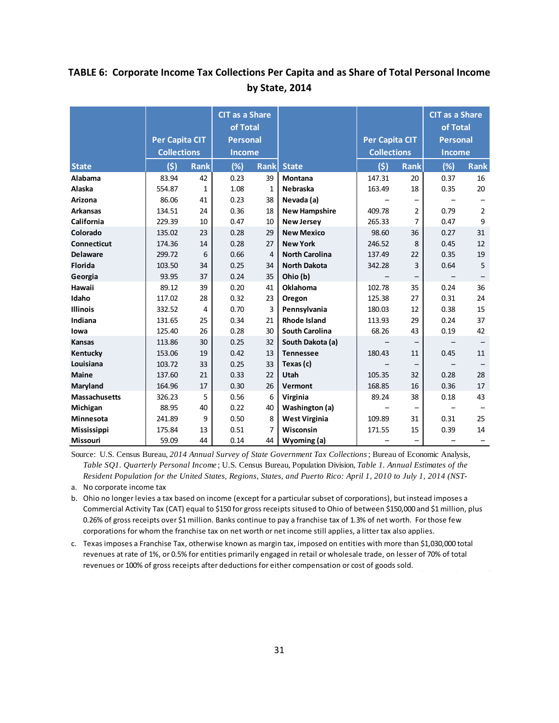# <span id="page-30-0"></span>**TABLE 6: Corporate Income Tax Collections Per Capita and as Share of Total Personal Income by State, 2014**

|                      | <b>Per Capita CIT</b><br><b>Collections</b> |             | <b>CIT as a Share</b><br>of Total<br><b>Personal</b><br><b>Income</b> |                |                       | <b>Per Capita CIT</b><br><b>Collections</b> |                          | <b>CIT as a Share</b><br>of Total<br><b>Personal</b><br><b>Income</b> |                |
|----------------------|---------------------------------------------|-------------|-----------------------------------------------------------------------|----------------|-----------------------|---------------------------------------------|--------------------------|-----------------------------------------------------------------------|----------------|
| <b>State</b>         | (5)                                         | <b>Rank</b> | (%)                                                                   | <b>Rank</b>    | <b>State</b>          | (5)                                         | <b>Rank</b>              | (%)                                                                   | <b>Rank</b>    |
| Alabama              | 83.94                                       | 42          | 0.23                                                                  | 39             | <b>Montana</b>        | 147.31                                      | 20                       | 0.37                                                                  | 16             |
| Alaska               | 554.87                                      | 1           | 1.08                                                                  | $\mathbf{1}$   | Nebraska              | 163.49                                      | 18                       | 0.35                                                                  | 20             |
| <b>Arizona</b>       | 86.06                                       | 41          | 0.23                                                                  | 38             | Nevada (a)            |                                             | $\overline{\phantom{0}}$ |                                                                       |                |
| <b>Arkansas</b>      | 134.51                                      | 24          | 0.36                                                                  | 18             | <b>New Hampshire</b>  | 409.78                                      | 2                        | 0.79                                                                  | $\overline{2}$ |
| California           | 229.39                                      | 10          | 0.47                                                                  | 10             | <b>New Jersey</b>     | 265.33                                      | 7                        | 0.47                                                                  | 9              |
| Colorado             | 135.02                                      | 23          | 0.28                                                                  | 29             | <b>New Mexico</b>     | 98.60                                       | 36                       | 0.27                                                                  | 31             |
| <b>Connecticut</b>   | 174.36                                      | 14          | 0.28                                                                  | 27             | <b>New York</b>       | 246.52                                      | 8                        | 0.45                                                                  | 12             |
| <b>Delaware</b>      | 299.72                                      | 6           | 0.66                                                                  | $\overline{4}$ | <b>North Carolina</b> | 137.49                                      | 22                       | 0.35                                                                  | 19             |
| <b>Florida</b>       | 103.50                                      | 34          | 0.25                                                                  | 34             | <b>North Dakota</b>   | 342.28                                      | 3                        | 0.64                                                                  | 5              |
| Georgia              | 93.95                                       | 37          | 0.24                                                                  | 35             | Ohio (b)              |                                             | -                        |                                                                       |                |
| Hawaii               | 89.12                                       | 39          | 0.20                                                                  | 41             | <b>Oklahoma</b>       | 102.78                                      | 35                       | 0.24                                                                  | 36             |
| Idaho                | 117.02                                      | 28          | 0.32                                                                  | 23             | Oregon                | 125.38                                      | 27                       | 0.31                                                                  | 24             |
| <b>Illinois</b>      | 332.52                                      | 4           | 0.70                                                                  | 3              | Pennsylvania          | 180.03                                      | 12                       | 0.38                                                                  | 15             |
| Indiana              | 131.65                                      | 25          | 0.34                                                                  | 21             | <b>Rhode Island</b>   | 113.93                                      | 29                       | 0.24                                                                  | 37             |
| lowa                 | 125.40                                      | 26          | 0.28                                                                  | 30             | <b>South Carolina</b> | 68.26                                       | 43                       | 0.19                                                                  | 42             |
| <b>Kansas</b>        | 113.86                                      | 30          | 0.25                                                                  | 32             | South Dakota (a)      |                                             | -                        | $\qquad \qquad -$                                                     |                |
| Kentucky             | 153.06                                      | 19          | 0.42                                                                  | 13             | <b>Tennessee</b>      | 180.43                                      | 11                       | 0.45                                                                  | 11             |
| Louisiana            | 103.72                                      | 33          | 0.25                                                                  | 33             | Texas (c)             |                                             |                          |                                                                       |                |
| <b>Maine</b>         | 137.60                                      | 21          | 0.33                                                                  | 22             | Utah                  | 105.35                                      | 32                       | 0.28                                                                  | 28             |
| Maryland             | 164.96                                      | 17          | 0.30                                                                  | 26             | Vermont               | 168.85                                      | 16                       | 0.36                                                                  | 17             |
| <b>Massachusetts</b> | 326.23                                      | 5           | 0.56                                                                  | 6              | Virginia              | 89.24                                       | 38                       | 0.18                                                                  | 43             |
| Michigan             | 88.95                                       | 40          | 0.22                                                                  | 40             | Washington (a)        |                                             | $\overline{\phantom{0}}$ |                                                                       |                |
| Minnesota            | 241.89                                      | 9           | 0.50                                                                  | 8              | <b>West Virginia</b>  | 109.89                                      | 31                       | 0.31                                                                  | 25             |
| <b>Mississippi</b>   | 175.84                                      | 13          | 0.51                                                                  | 7              | Wisconsin             | 171.55                                      | 15                       | 0.39                                                                  | 14             |
| Missouri             | 59.09                                       | 44          | 0.14                                                                  | 44             | Wyoming (a)           |                                             | $\overline{\phantom{0}}$ |                                                                       |                |

Source: U.S. Census Bureau, *2014 Annual Survey of State Government Tax Collections*; Bureau of Economic Analysis, *Table SQ1. Quarterly Personal Income* ; U.S. Census Bureau, Population Division, *Table 1. Annual Estimates of the Resident Population for the United States, Regions, States, and Puerto Rico: April 1, 2010 to July 1, 2014 (NST-*

a. No corporate income tax

b. Ohio no longer levies a tax based on income (except for a particular subset of corporations), but instead imposes a Commercial Activity Tax (CAT) equal to \$150 for gross receipts sitused to Ohio of between \$150,000 and \$1 million, plus 0.26% of gross receipts over \$1 million. Banks continue to pay a franchise tax of 1.3% of net worth. For those few corporations for whom the franchise tax on net worth or net income still applies, a litter tax also applies.

c. Texas imposes a Franchise Tax, otherwise known as margin tax, imposed on entities with more than \$1,030,000 total revenues at rate of 1%, or 0.5% for entities primarily engaged in retail or wholesale trade, on lesser of 70% of total revenues or 100% of gross receipts after deductions for either compensation or cost of goods sold.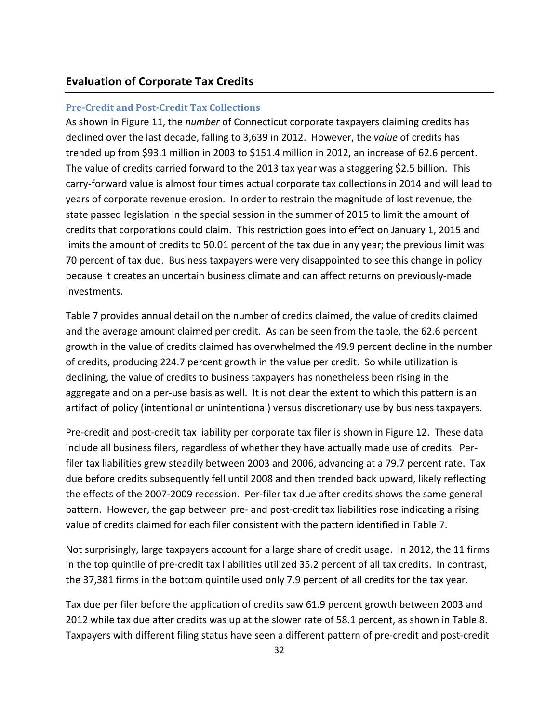### <span id="page-31-0"></span>**Evaluation of Corporate Tax Credits**

### **Pre-Credit and Post-Credit Tax Collections**

As shown in Figure 11, the *number* of Connecticut corporate taxpayers claiming credits has declined over the last decade, falling to 3,639 in 2012. However, the *value* of credits has trended up from \$93.1 million in 2003 to \$151.4 million in 2012, an increase of 62.6 percent. The value of credits carried forward to the 2013 tax year was a staggering \$2.5 billion. This carry-forward value is almost four times actual corporate tax collections in 2014 and will lead to years of corporate revenue erosion. In order to restrain the magnitude of lost revenue, the state passed legislation in the special session in the summer of 2015 to limit the amount of credits that corporations could claim. This restriction goes into effect on January 1, 2015 and limits the amount of credits to 50.01 percent of the tax due in any year; the previous limit was 70 percent of tax due. Business taxpayers were very disappointed to see this change in policy because it creates an uncertain business climate and can affect returns on previously-made investments.

Table 7 provides annual detail on the number of credits claimed, the value of credits claimed and the average amount claimed per credit. As can be seen from the table, the 62.6 percent growth in the value of credits claimed has overwhelmed the 49.9 percent decline in the number of credits, producing 224.7 percent growth in the value per credit. So while utilization is declining, the value of credits to business taxpayers has nonetheless been rising in the aggregate and on a per-use basis as well. It is not clear the extent to which this pattern is an artifact of policy (intentional or unintentional) versus discretionary use by business taxpayers.

Pre-credit and post-credit tax liability per corporate tax filer is shown in Figure 12. These data include all business filers, regardless of whether they have actually made use of credits. Perfiler tax liabilities grew steadily between 2003 and 2006, advancing at a 79.7 percent rate. Tax due before credits subsequently fell until 2008 and then trended back upward, likely reflecting the effects of the 2007-2009 recession. Per-filer tax due after credits shows the same general pattern. However, the gap between pre- and post-credit tax liabilities rose indicating a rising value of credits claimed for each filer consistent with the pattern identified in Table 7.

Not surprisingly, large taxpayers account for a large share of credit usage. In 2012, the 11 firms in the top quintile of pre-credit tax liabilities utilized 35.2 percent of all tax credits. In contrast, the 37,381 firms in the bottom quintile used only 7.9 percent of all credits for the tax year.

Tax due per filer before the application of credits saw 61.9 percent growth between 2003 and 2012 while tax due after credits was up at the slower rate of 58.1 percent, as shown in Table 8. Taxpayers with different filing status have seen a different pattern of pre-credit and post-credit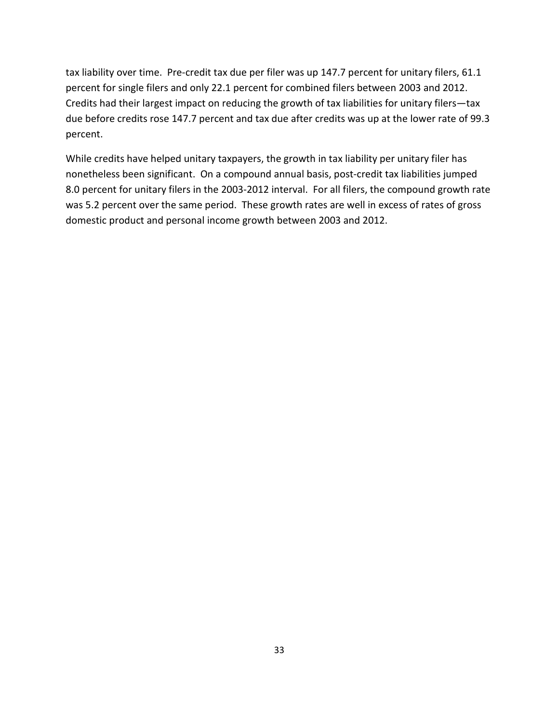tax liability over time. Pre-credit tax due per filer was up 147.7 percent for unitary filers, 61.1 percent for single filers and only 22.1 percent for combined filers between 2003 and 2012. Credits had their largest impact on reducing the growth of tax liabilities for unitary filers—tax due before credits rose 147.7 percent and tax due after credits was up at the lower rate of 99.3 percent.

While credits have helped unitary taxpayers, the growth in tax liability per unitary filer has nonetheless been significant. On a compound annual basis, post-credit tax liabilities jumped 8.0 percent for unitary filers in the 2003-2012 interval. For all filers, the compound growth rate was 5.2 percent over the same period. These growth rates are well in excess of rates of gross domestic product and personal income growth between 2003 and 2012.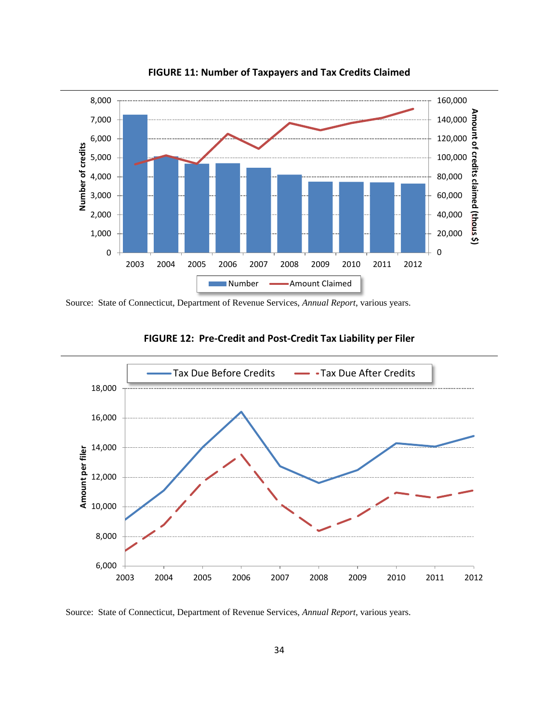<span id="page-33-0"></span>

**FIGURE 11: Number of Taxpayers and Tax Credits Claimed**

Source: State of Connecticut, Department of Revenue Services, *Annual Report*, various years.

<span id="page-33-1"></span>

# **FIGURE 12: Pre-Credit and Post-Credit Tax Liability per Filer**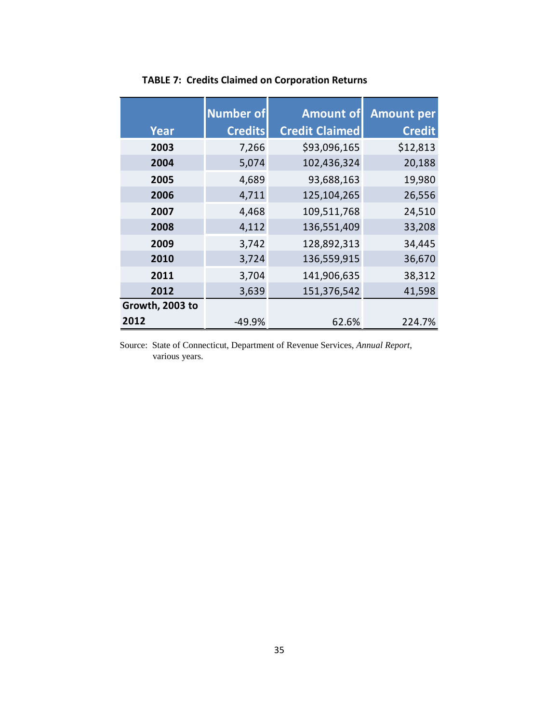<span id="page-34-0"></span>

|                 | <b>Number of</b> | <b>Amount of</b>      | <b>Amount per</b> |
|-----------------|------------------|-----------------------|-------------------|
| Year            | <b>Credits</b>   | <b>Credit Claimed</b> | <b>Credit</b>     |
| 2003            | 7,266            | \$93,096,165          | \$12,813          |
| 2004            | 5,074            | 102,436,324           | 20,188            |
| 2005            | 4,689            | 93,688,163            | 19,980            |
| 2006            | 4,711            | 125,104,265           | 26,556            |
| 2007            | 4,468            | 109,511,768           | 24,510            |
| 2008            | 4,112            | 136,551,409           | 33,208            |
| 2009            | 3,742            | 128,892,313           | 34,445            |
| 2010            | 3,724            | 136,559,915           | 36,670            |
| 2011            | 3,704            | 141,906,635           | 38,312            |
| 2012            | 3,639            | 151,376,542           | 41,598            |
| Growth, 2003 to |                  |                       |                   |
| 2012            | -49.9%           | 62.6%                 | 224.7%            |

# **TABLE 7: Credits Claimed on Corporation Returns**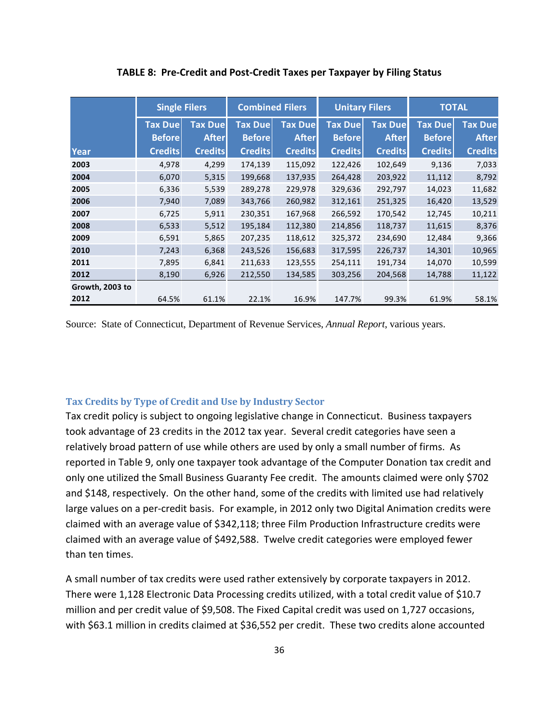<span id="page-35-0"></span>

|                 | <b>Single Filers</b> |                | <b>Combined Filers</b> |                | <b>Unitary Filers</b> |                | <b>TOTAL</b>   |                |  |
|-----------------|----------------------|----------------|------------------------|----------------|-----------------------|----------------|----------------|----------------|--|
|                 | <b>Tax Due</b>       | <b>Tax Due</b> | <b>Tax Due</b>         | <b>Tax Due</b> | <b>Tax Due</b>        | <b>Tax Due</b> | <b>Tax Due</b> | <b>Tax Due</b> |  |
|                 | <b>Before</b>        | <b>After</b>   | <b>Before</b>          | <b>After</b>   | <b>Before</b>         | <b>After</b>   | <b>Before</b>  | <b>After</b>   |  |
| Year            | <b>Credits</b>       | <b>Credits</b> | <b>Credits</b>         | <b>Credits</b> | <b>Credits</b>        | <b>Credits</b> | <b>Credits</b> | <b>Credits</b> |  |
| 2003            | 4.978                | 4,299          | 174,139                | 115,092        | 122,426               | 102,649        | 9,136          | 7,033          |  |
| 2004            | 6,070                | 5,315          | 199,668                | 137,935        | 264,428               | 203,922        | 11,112         | 8,792          |  |
| 2005            | 6,336                | 5,539          | 289,278                | 229,978        | 329,636               | 292,797        | 14,023         | 11,682         |  |
| 2006            | 7,940                | 7,089          | 343,766                | 260,982        | 312,161               | 251,325        | 16,420         | 13,529         |  |
| 2007            | 6,725                | 5,911          | 230,351                | 167,968        | 266,592               | 170,542        | 12,745         | 10,211         |  |
| 2008            | 6,533                | 5,512          | 195,184                | 112,380        | 214,856               | 118,737        | 11,615         | 8,376          |  |
| 2009            | 6,591                | 5,865          | 207,235                | 118,612        | 325,372               | 234,690        | 12,484         | 9,366          |  |
| 2010            | 7,243                | 6,368          | 243,526                | 156,683        | 317,595               | 226,737        | 14,301         | 10,965         |  |
| 2011            | 7,895                | 6,841          | 211,633                | 123,555        | 254,111               | 191,734        | 14,070         | 10,599         |  |
| 2012            | 8,190                | 6,926          | 212,550                | 134,585        | 303,256               | 204,568        | 14,788         | 11,122         |  |
| Growth, 2003 to |                      |                |                        |                |                       |                |                |                |  |
| 2012            | 64.5%                | 61.1%          | 22.1%                  | 16.9%          | 147.7%                | 99.3%          | 61.9%          | 58.1%          |  |

**TABLE 8: Pre-Credit and Post-Credit Taxes per Taxpayer by Filing Status**

Source: State of Connecticut, Department of Revenue Services, *Annual Report*, various years.

### **Tax Credits by Type of Credit and Use by Industry Sector**

Tax credit policy is subject to ongoing legislative change in Connecticut. Business taxpayers took advantage of 23 credits in the 2012 tax year. Several credit categories have seen a relatively broad pattern of use while others are used by only a small number of firms. As reported in Table 9, only one taxpayer took advantage of the Computer Donation tax credit and only one utilized the Small Business Guaranty Fee credit. The amounts claimed were only \$702 and \$148, respectively. On the other hand, some of the credits with limited use had relatively large values on a per-credit basis. For example, in 2012 only two Digital Animation credits were claimed with an average value of \$342,118; three Film Production Infrastructure credits were claimed with an average value of \$492,588. Twelve credit categories were employed fewer than ten times.

A small number of tax credits were used rather extensively by corporate taxpayers in 2012. There were 1,128 Electronic Data Processing credits utilized, with a total credit value of \$10.7 million and per credit value of \$9,508. The Fixed Capital credit was used on 1,727 occasions, with \$63.1 million in credits claimed at \$36,552 per credit. These two credits alone accounted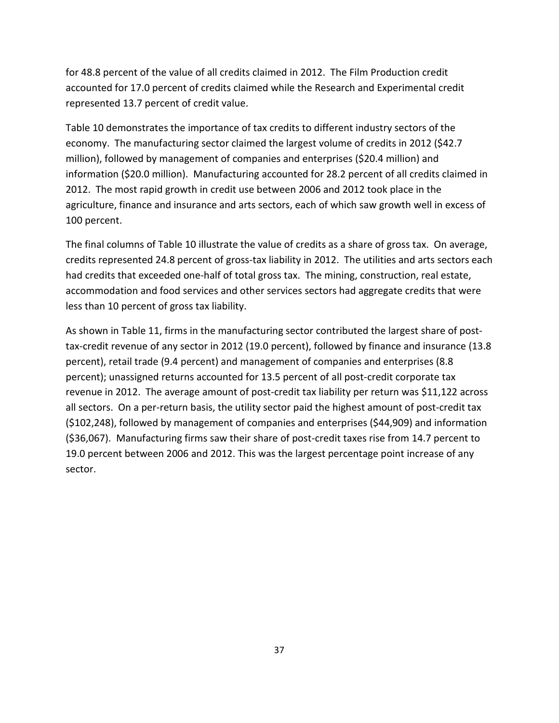for 48.8 percent of the value of all credits claimed in 2012. The Film Production credit accounted for 17.0 percent of credits claimed while the Research and Experimental credit represented 13.7 percent of credit value.

Table 10 demonstrates the importance of tax credits to different industry sectors of the economy. The manufacturing sector claimed the largest volume of credits in 2012 (\$42.7 million), followed by management of companies and enterprises (\$20.4 million) and information (\$20.0 million). Manufacturing accounted for 28.2 percent of all credits claimed in 2012. The most rapid growth in credit use between 2006 and 2012 took place in the agriculture, finance and insurance and arts sectors, each of which saw growth well in excess of 100 percent.

The final columns of Table 10 illustrate the value of credits as a share of gross tax. On average, credits represented 24.8 percent of gross-tax liability in 2012. The utilities and arts sectors each had credits that exceeded one-half of total gross tax. The mining, construction, real estate, accommodation and food services and other services sectors had aggregate credits that were less than 10 percent of gross tax liability.

As shown in Table 11, firms in the manufacturing sector contributed the largest share of posttax-credit revenue of any sector in 2012 (19.0 percent), followed by finance and insurance (13.8 percent), retail trade (9.4 percent) and management of companies and enterprises (8.8 percent); unassigned returns accounted for 13.5 percent of all post-credit corporate tax revenue in 2012. The average amount of post-credit tax liability per return was \$11,122 across all sectors. On a per-return basis, the utility sector paid the highest amount of post-credit tax (\$102,248), followed by management of companies and enterprises (\$44,909) and information (\$36,067). Manufacturing firms saw their share of post-credit taxes rise from 14.7 percent to 19.0 percent between 2006 and 2012. This was the largest percentage point increase of any sector.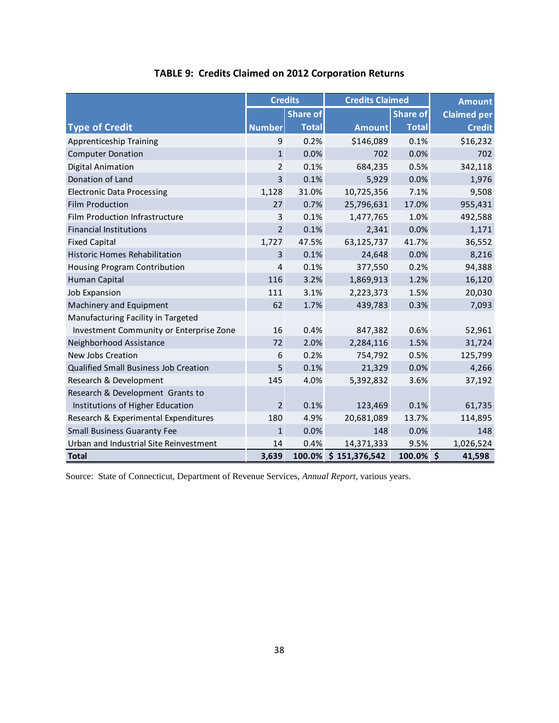<span id="page-37-0"></span>

|                                              |                | <b>Credits</b>  | <b>Credits Claimed</b> |                 | <b>Amount</b>      |
|----------------------------------------------|----------------|-----------------|------------------------|-----------------|--------------------|
|                                              |                | <b>Share of</b> |                        | <b>Share of</b> | <b>Claimed per</b> |
| <b>Type of Credit</b>                        | <b>Number</b>  | <b>Total</b>    | Amount                 | <b>Total</b>    | <b>Credit</b>      |
| Apprenticeship Training                      | 9              | 0.2%            | \$146,089              | 0.1%            | \$16,232           |
| <b>Computer Donation</b>                     | $\mathbf{1}$   | 0.0%            | 702                    | 0.0%            | 702                |
| Digital Animation                            | $\overline{2}$ | 0.1%            | 684,235                | 0.5%            | 342,118            |
| Donation of Land                             | $\overline{3}$ | 0.1%            | 5,929                  | 0.0%            | 1,976              |
| <b>Electronic Data Processing</b>            | 1,128          | 31.0%           | 10,725,356             | 7.1%            | 9,508              |
| <b>Film Production</b>                       | 27             | 0.7%            | 25,796,631             | 17.0%           | 955,431            |
| Film Production Infrastructure               | 3              | 0.1%            | 1,477,765              | 1.0%            | 492,588            |
| <b>Financial Institutions</b>                | $\overline{2}$ | 0.1%            | 2,341                  | 0.0%            | 1,171              |
| <b>Fixed Capital</b>                         | 1,727          | 47.5%           | 63,125,737             | 41.7%           | 36,552             |
| <b>Historic Homes Rehabilitation</b>         | 3              | 0.1%            | 24,648                 | 0.0%            | 8,216              |
| Housing Program Contribution                 | 4              | 0.1%            | 377,550                | 0.2%            | 94,388             |
| Human Capital                                | 116            | 3.2%            | 1,869,913              | 1.2%            | 16,120             |
| Job Expansion                                | 111            | 3.1%            | 2,223,373              | 1.5%            | 20,030             |
| Machinery and Equipment                      | 62             | 1.7%            | 439,783                | 0.3%            | 7,093              |
| Manufacturing Facility in Targeted           |                |                 |                        |                 |                    |
| Investment Community or Enterprise Zone      | 16             | 0.4%            | 847,382                | 0.6%            | 52,961             |
| Neighborhood Assistance                      | 72             | 2.0%            | 2,284,116              | 1.5%            | 31,724             |
| New Jobs Creation                            | 6              | 0.2%            | 754,792                | 0.5%            | 125,799            |
| <b>Qualified Small Business Job Creation</b> | 5              | 0.1%            | 21,329                 | 0.0%            | 4,266              |
| Research & Development                       | 145            | 4.0%            | 5,392,832              | 3.6%            | 37,192             |
| Research & Development Grants to             |                |                 |                        |                 |                    |
| Institutions of Higher Education             | $\overline{2}$ | 0.1%            | 123,469                | 0.1%            | 61,735             |
| Research & Experimental Expenditures         | 180            | 4.9%            | 20,681,089             | 13.7%           | 114,895            |
| <b>Small Business Guaranty Fee</b>           | $\mathbf{1}$   | 0.0%            | 148                    | 0.0%            | 148                |
| Urban and Industrial Site Reinvestment       | 14             | 0.4%            | 14,371,333             | 9.5%            | 1,026,524          |
| <b>Total</b>                                 | 3,639          |                 | 100.0% \$151,376,542   | 100.0% \$       | 41,598             |

# **TABLE 9: Credits Claimed on 2012 Corporation Returns**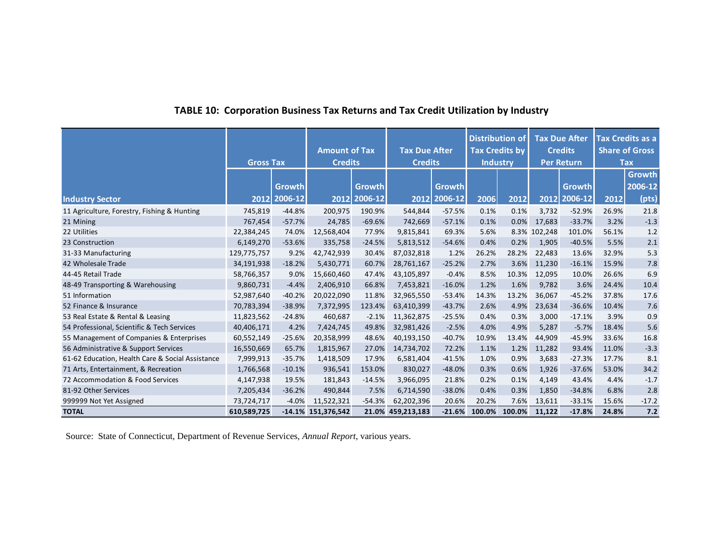# **TABLE 10: Corporation Business Tax Returns and Tax Credit Utilization by Industry**

<span id="page-38-0"></span>

|                                                  | <b>Gross Tax</b> |                        | <b>Amount of Tax</b><br><b>Credits</b> |                        | <b>Tax Due After</b><br><b>Credits</b> |                               | <b>Distribution of</b><br><b>Tax Credits by</b><br><b>Industry</b> |        | <b>Tax Due After</b><br><b>Credits</b><br><b>Per Return</b> |                          | Tax Credits as a<br><b>Share of Gross</b><br><b>Tax</b> |                                   |
|--------------------------------------------------|------------------|------------------------|----------------------------------------|------------------------|----------------------------------------|-------------------------------|--------------------------------------------------------------------|--------|-------------------------------------------------------------|--------------------------|---------------------------------------------------------|-----------------------------------|
| <b>Industry Sector</b>                           |                  | Growth<br>2012 2006-12 |                                        | Growth<br>2012 2006-12 |                                        | <b>Growth</b><br>2012 2006-12 | 2006                                                               | 2012   | 2012                                                        | <b>Growth</b><br>2006-12 | 2012                                                    | <b>Growth</b><br>2006-12<br>(pts) |
| 11 Agriculture, Forestry, Fishing & Hunting      | 745,819          | $-44.8%$               | 200,975                                | 190.9%                 | 544,844                                | $-57.5%$                      | 0.1%                                                               | 0.1%   | 3,732                                                       | $-52.9%$                 | 26.9%                                                   | 21.8                              |
| 21 Mining                                        | 767,454          | $-57.7%$               | 24,785                                 | $-69.6%$               | 742,669                                | $-57.1%$                      | 0.1%                                                               | 0.0%   | 17,683                                                      | $-33.7%$                 | 3.2%                                                    | $-1.3$                            |
| 22 Utilities                                     | 22,384,245       | 74.0%                  | 12,568,404                             | 77.9%                  | 9,815,841                              | 69.3%                         | 5.6%                                                               |        | 8.3% 102,248                                                | 101.0%                   | 56.1%                                                   | 1.2                               |
| 23 Construction                                  | 6,149,270        | $-53.6%$               | 335,758                                | $-24.5%$               | 5,813,512                              | $-54.6%$                      | 0.4%                                                               | 0.2%   | 1,905                                                       | $-40.5%$                 | 5.5%                                                    | $2.1$                             |
| 31-33 Manufacturing                              | 129,775,757      | 9.2%                   | 42,742,939                             | 30.4%                  | 87,032,818                             | 1.2%                          | 26.2%                                                              | 28.2%  | 22,483                                                      | 13.6%                    | 32.9%                                                   | 5.3                               |
| 42 Wholesale Trade                               | 34,191,938       | $-18.2%$               | 5,430,771                              | 60.7%                  | 28,761,167                             | $-25.2%$                      | 2.7%                                                               | 3.6%   | 11,230                                                      | $-16.1%$                 | 15.9%                                                   | 7.8                               |
| 44-45 Retail Trade                               | 58,766,357       | 9.0%                   | 15,660,460                             | 47.4%                  | 43,105,897                             | $-0.4%$                       | 8.5%                                                               | 10.3%  | 12,095                                                      | 10.0%                    | 26.6%                                                   | 6.9                               |
| 48-49 Transporting & Warehousing                 | 9,860,731        | $-4.4%$                | 2.406.910                              | 66.8%                  | 7,453,821                              | $-16.0%$                      | 1.2%                                                               | 1.6%   | 9,782                                                       | 3.6%                     | 24.4%                                                   | 10.4                              |
| 51 Information                                   | 52,987,640       | $-40.2%$               | 20,022,090                             | 11.8%                  | 32,965,550                             | $-53.4%$                      | 14.3%                                                              | 13.2%  | 36,067                                                      | $-45.2%$                 | 37.8%                                                   | 17.6                              |
| 52 Finance & Insurance                           | 70,783,394       | $-38.9%$               | 7,372,995                              | 123.4%                 | 63,410,399                             | $-43.7%$                      | 2.6%                                                               | 4.9%   | 23,634                                                      | $-36.6%$                 | 10.4%                                                   | $7.6$                             |
| 53 Real Estate & Rental & Leasing                | 11,823,562       | $-24.8%$               | 460,687                                | $-2.1%$                | 11,362,875                             | $-25.5%$                      | 0.4%                                                               | 0.3%   | 3,000                                                       | $-17.1%$                 | 3.9%                                                    | 0.9                               |
| 54 Professional, Scientific & Tech Services      | 40,406,171       | 4.2%                   | 7,424,745                              | 49.8%                  | 32,981,426                             | $-2.5%$                       | 4.0%                                                               | 4.9%   | 5,287                                                       | $-5.7%$                  | 18.4%                                                   | 5.6                               |
| 55 Management of Companies & Enterprises         | 60,552,149       | $-25.6%$               | 20,358,999                             | 48.6%                  | 40,193,150                             | $-40.7%$                      | 10.9%                                                              | 13.4%  | 44,909                                                      | $-45.9%$                 | 33.6%                                                   | 16.8                              |
| 56 Administrative & Support Services             | 16,550,669       | 65.7%                  | 1,815,967                              | 27.0%                  | 14,734,702                             | 72.2%                         | 1.1%                                                               | 1.2%   | 11,282                                                      | 93.4%                    | 11.0%                                                   | $-3.3$                            |
| 61-62 Education, Health Care & Social Assistance | 7,999,913        | $-35.7%$               | 1,418,509                              | 17.9%                  | 6,581,404                              | $-41.5%$                      | 1.0%                                                               | 0.9%   | 3,683                                                       | $-27.3%$                 | 17.7%                                                   | 8.1                               |
| 71 Arts, Entertainment, & Recreation             | 1,766,568        | $-10.1%$               | 936,541                                | 153.0%                 | 830,027                                | $-48.0%$                      | 0.3%                                                               | 0.6%   | 1,926                                                       | $-37.6%$                 | 53.0%                                                   | 34.2                              |
| 72 Accommodation & Food Services                 | 4,147,938        | 19.5%                  | 181,843                                | $-14.5%$               | 3,966,095                              | 21.8%                         | 0.2%                                                               | 0.1%   | 4,149                                                       | 43.4%                    | 4.4%                                                    | $-1.7$                            |
| 81-92 Other Services                             | 7,205,434        | $-36.2%$               | 490,844                                | 7.5%                   | 6,714,590                              | $-38.0%$                      | 0.4%                                                               | 0.3%   | 1,850                                                       | $-34.8%$                 | 6.8%                                                    | 2.8                               |
| 999999 Not Yet Assigned                          | 73,724,717       | $-4.0%$                | 11,522,321                             | $-54.3%$               | 62,202,396                             | 20.6%                         | 20.2%                                                              | 7.6%   | 13,611                                                      | $-33.1%$                 | 15.6%                                                   | $-17.2$                           |
| <b>TOTAL</b>                                     | 610,589,725      |                        | -14.1% 151,376,542                     |                        | 21.0% 459,213,183                      | $-21.6%$                      | 100.0%                                                             | 100.0% | 11,122                                                      | $-17.8%$                 | 24.8%                                                   | 7.2                               |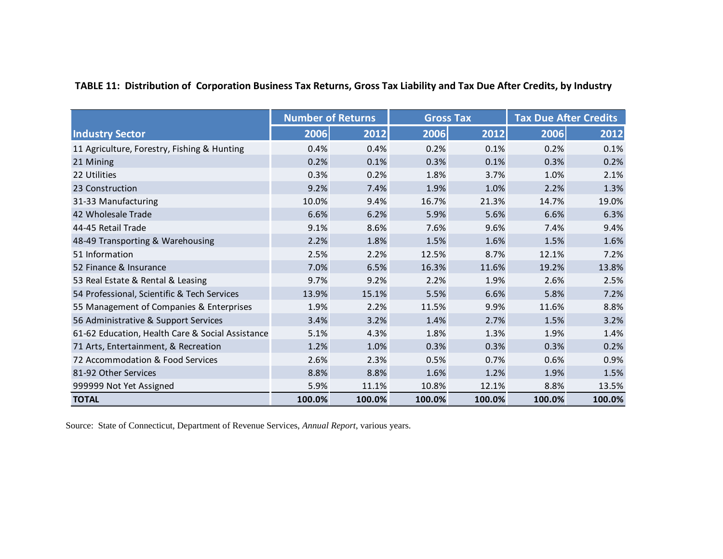<span id="page-39-0"></span>

|                                                  | <b>Number of Returns</b> |        | <b>Gross Tax</b> |        | <b>Tax Due After Credits</b> |        |
|--------------------------------------------------|--------------------------|--------|------------------|--------|------------------------------|--------|
| <b>Industry Sector</b>                           | 2006                     | 2012   | 2006             | 2012   | 2006                         | 2012   |
| 11 Agriculture, Forestry, Fishing & Hunting      | 0.4%                     | 0.4%   | 0.2%             | 0.1%   | 0.2%                         | 0.1%   |
| 21 Mining                                        | 0.2%                     | 0.1%   | 0.3%             | 0.1%   | 0.3%                         | 0.2%   |
| 22 Utilities                                     | 0.3%                     | 0.2%   | 1.8%             | 3.7%   | 1.0%                         | 2.1%   |
| 23 Construction                                  | 9.2%                     | 7.4%   | 1.9%             | 1.0%   | 2.2%                         | 1.3%   |
| 31-33 Manufacturing                              | 10.0%                    | 9.4%   | 16.7%            | 21.3%  | 14.7%                        | 19.0%  |
| 42 Wholesale Trade                               | 6.6%                     | 6.2%   | 5.9%             | 5.6%   | 6.6%                         | 6.3%   |
| 44-45 Retail Trade                               | 9.1%                     | 8.6%   | 7.6%             | 9.6%   | 7.4%                         | 9.4%   |
| 48-49 Transporting & Warehousing                 | 2.2%                     | 1.8%   | 1.5%             | 1.6%   | 1.5%                         | 1.6%   |
| 51 Information                                   | 2.5%                     | 2.2%   | 12.5%            | 8.7%   | 12.1%                        | 7.2%   |
| 52 Finance & Insurance                           | 7.0%                     | 6.5%   | 16.3%            | 11.6%  | 19.2%                        | 13.8%  |
| 53 Real Estate & Rental & Leasing                | 9.7%                     | 9.2%   | 2.2%             | 1.9%   | 2.6%                         | 2.5%   |
| 54 Professional, Scientific & Tech Services      | 13.9%                    | 15.1%  | 5.5%             | 6.6%   | 5.8%                         | 7.2%   |
| 55 Management of Companies & Enterprises         | 1.9%                     | 2.2%   | 11.5%            | 9.9%   | 11.6%                        | 8.8%   |
| 56 Administrative & Support Services             | 3.4%                     | 3.2%   | 1.4%             | 2.7%   | 1.5%                         | 3.2%   |
| 61-62 Education, Health Care & Social Assistance | 5.1%                     | 4.3%   | 1.8%             | 1.3%   | 1.9%                         | 1.4%   |
| 71 Arts, Entertainment, & Recreation             | 1.2%                     | 1.0%   | 0.3%             | 0.3%   | 0.3%                         | 0.2%   |
| 72 Accommodation & Food Services                 | 2.6%                     | 2.3%   | 0.5%             | 0.7%   | 0.6%                         | 0.9%   |
| 81-92 Other Services                             | 8.8%                     | 8.8%   | 1.6%             | 1.2%   | 1.9%                         | 1.5%   |
| 999999 Not Yet Assigned                          | 5.9%                     | 11.1%  | 10.8%            | 12.1%  | 8.8%                         | 13.5%  |
| <b>TOTAL</b>                                     | 100.0%                   | 100.0% | 100.0%           | 100.0% | 100.0%                       | 100.0% |

# **TABLE 11: Distribution of Corporation Business Tax Returns, Gross Tax Liability and Tax Due After Credits, by Industry**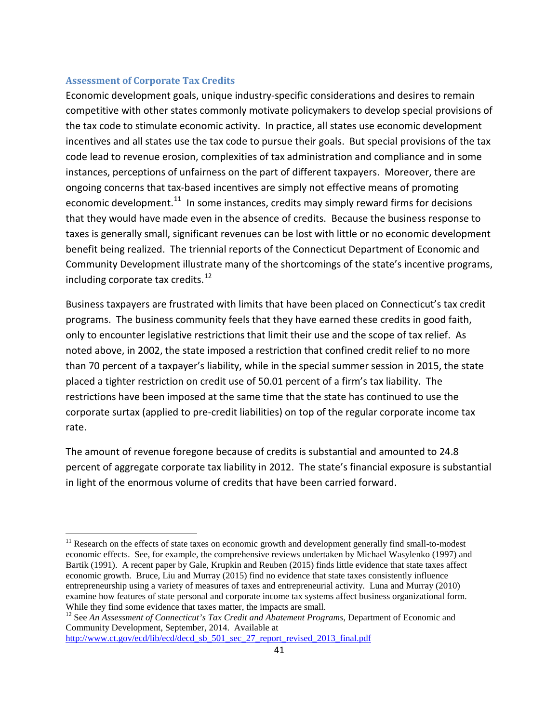### **Assessment of Corporate Tax Credits**

Economic development goals, unique industry-specific considerations and desires to remain competitive with other states commonly motivate policymakers to develop special provisions of the tax code to stimulate economic activity. In practice, all states use economic development incentives and all states use the tax code to pursue their goals. But special provisions of the tax code lead to revenue erosion, complexities of tax administration and compliance and in some instances, perceptions of unfairness on the part of different taxpayers. Moreover, there are ongoing concerns that tax-based incentives are simply not effective means of promoting economic development. $11$  In some instances, credits may simply reward firms for decisions that they would have made even in the absence of credits. Because the business response to taxes is generally small, significant revenues can be lost with little or no economic development benefit being realized. The triennial reports of the Connecticut Department of Economic and Community Development illustrate many of the shortcomings of the state's incentive programs, including corporate tax credits. $12$ 

Business taxpayers are frustrated with limits that have been placed on Connecticut's tax credit programs. The business community feels that they have earned these credits in good faith, only to encounter legislative restrictions that limit their use and the scope of tax relief. As noted above, in 2002, the state imposed a restriction that confined credit relief to no more than 70 percent of a taxpayer's liability, while in the special summer session in 2015, the state placed a tighter restriction on credit use of 50.01 percent of a firm's tax liability. The restrictions have been imposed at the same time that the state has continued to use the corporate surtax (applied to pre-credit liabilities) on top of the regular corporate income tax rate.

The amount of revenue foregone because of credits is substantial and amounted to 24.8 percent of aggregate corporate tax liability in 2012. The state's financial exposure is substantial in light of the enormous volume of credits that have been carried forward.

http://www.ct.gov/ecd/lib/ecd/decd\_sb\_501\_sec\_27\_report\_revised\_2013\_final.pdf

<span id="page-40-0"></span><sup>&</sup>lt;sup>11</sup> Research on the effects of state taxes on economic growth and development generally find small-to-modest economic effects. See, for example, the comprehensive reviews undertaken by Michael Wasylenko (1997) and Bartik (1991). A recent paper by Gale, Krupkin and Reuben (2015) finds little evidence that state taxes affect economic growth. Bruce, Liu and Murray (2015) find no evidence that state taxes consistently influence entrepreneurship using a variety of measures of taxes and entrepreneurial activity. Luna and Murray (2010) examine how features of state personal and corporate income tax systems affect business organizational form. While they find some evidence that taxes matter, the impacts are small.<br><sup>12</sup> See *An Assessment of Connecticut's Tax Credit and Abatement Programs*, Department of Economic and

<span id="page-40-1"></span>Community Development, September, 2014. Available at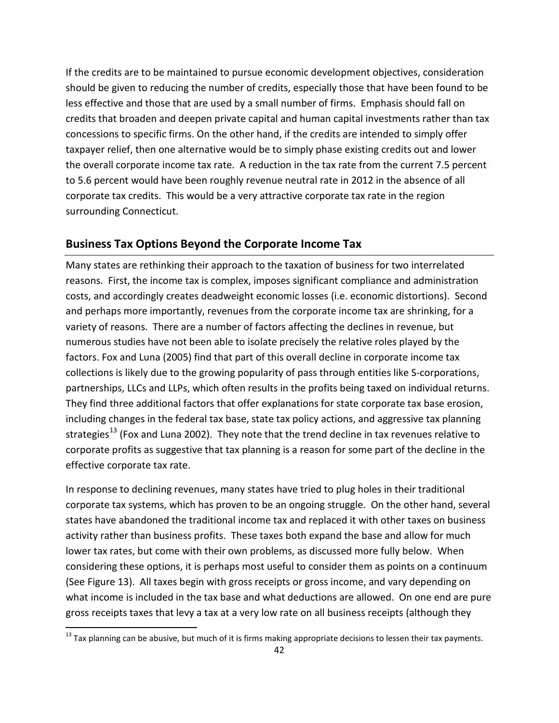If the credits are to be maintained to pursue economic development objectives, consideration should be given to reducing the number of credits, especially those that have been found to be less effective and those that are used by a small number of firms. Emphasis should fall on credits that broaden and deepen private capital and human capital investments rather than tax concessions to specific firms. On the other hand, if the credits are intended to simply offer taxpayer relief, then one alternative would be to simply phase existing credits out and lower the overall corporate income tax rate. A reduction in the tax rate from the current 7.5 percent to 5.6 percent would have been roughly revenue neutral rate in 2012 in the absence of all corporate tax credits. This would be a very attractive corporate tax rate in the region surrounding Connecticut.

## <span id="page-41-0"></span>**Business Tax Options Beyond the Corporate Income Tax**

Many states are rethinking their approach to the taxation of business for two interrelated reasons. First, the income tax is complex, imposes significant compliance and administration costs, and accordingly creates deadweight economic losses (i.e. economic distortions). Second and perhaps more importantly, revenues from the corporate income tax are shrinking, for a variety of reasons. There are a number of factors affecting the declines in revenue, but numerous studies have not been able to isolate precisely the relative roles played by the factors. Fox and Luna (2005) find that part of this overall decline in corporate income tax collections is likely due to the growing popularity of pass through entities like S-corporations, partnerships, LLCs and LLPs, which often results in the profits being taxed on individual returns. They find three additional factors that offer explanations for state corporate tax base erosion, including changes in the federal tax base, state tax policy actions, and aggressive tax planning strategies<sup>[13](#page-41-1)</sup> (Fox and Luna 2002). They note that the trend decline in tax revenues relative to corporate profits as suggestive that tax planning is a reason for some part of the decline in the effective corporate tax rate.

In response to declining revenues, many states have tried to plug holes in their traditional corporate tax systems, which has proven to be an ongoing struggle. On the other hand, several states have abandoned the traditional income tax and replaced it with other taxes on business activity rather than business profits. These taxes both expand the base and allow for much lower tax rates, but come with their own problems, as discussed more fully below. When considering these options, it is perhaps most useful to consider them as points on a continuum (See Figure 13). All taxes begin with gross receipts or gross income, and vary depending on what income is included in the tax base and what deductions are allowed. On one end are pure gross receipts taxes that levy a tax at a very low rate on all business receipts (although they

<span id="page-41-1"></span> $13$  Tax planning can be abusive, but much of it is firms making appropriate decisions to lessen their tax payments.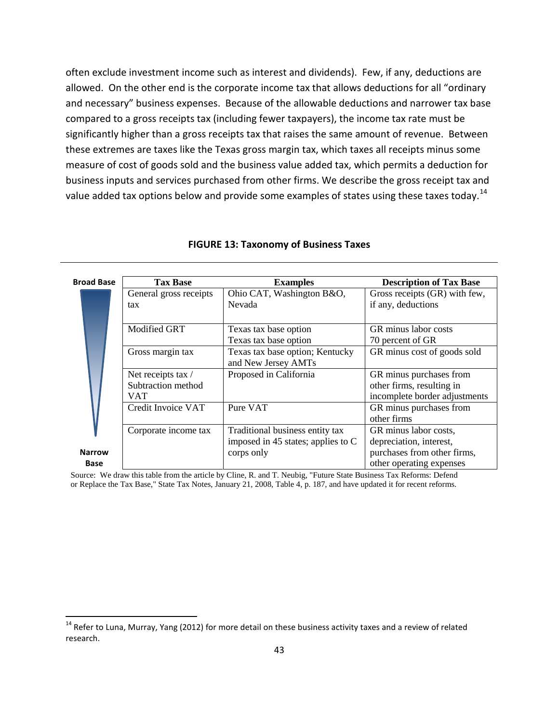often exclude investment income such as interest and dividends). Few, if any, deductions are allowed. On the other end is the corporate income tax that allows deductions for all "ordinary and necessary" business expenses. Because of the allowable deductions and narrower tax base compared to a gross receipts tax (including fewer taxpayers), the income tax rate must be significantly higher than a gross receipts tax that raises the same amount of revenue. Between these extremes are taxes like the Texas gross margin tax, which taxes all receipts minus some measure of cost of goods sold and the business value added tax, which permits a deduction for business inputs and services purchased from other firms. We describe the gross receipt tax and value added tax options below and provide some examples of states using these taxes today.<sup>14</sup>

<span id="page-42-0"></span>

| <b>Broad Base</b> | <b>Tax Base</b>        | <b>Examples</b>                      | <b>Description of Tax Base</b> |
|-------------------|------------------------|--------------------------------------|--------------------------------|
|                   | General gross receipts | Ohio CAT, Washington B&O,            | Gross receipts (GR) with few,  |
|                   | tax                    | Nevada                               | if any, deductions             |
|                   |                        |                                      |                                |
|                   | <b>Modified GRT</b>    | Texas tax base option                | GR minus labor costs           |
|                   |                        | Texas tax base option                | 70 percent of GR               |
|                   | Gross margin tax       | Texas tax base option; Kentucky      | GR minus cost of goods sold    |
|                   |                        | and New Jersey AMTs                  |                                |
|                   | Net receipts tax /     | Proposed in California               | GR minus purchases from        |
|                   | Subtraction method     |                                      | other firms, resulting in      |
|                   | VAT                    |                                      | incomplete border adjustments  |
|                   | Credit Invoice VAT     | Pure VAT                             | GR minus purchases from        |
|                   |                        |                                      | other firms                    |
|                   | Corporate income tax   | Traditional business entity tax      | GR minus labor costs,          |
|                   |                        | imposed in 45 states; applies to $C$ | depreciation, interest,        |
| <b>Narrow</b>     |                        | corps only                           | purchases from other firms,    |
| Base              |                        |                                      | other operating expenses       |

#### **FIGURE 13: Taxonomy of Business Taxes**

Source: We draw this table from the article by Cline, R. and T. Neubig, "Future State Business Tax Reforms: Defend or Replace the Tax Base," State Tax Notes, January 21, 2008, Table 4, p. 187, and have updated it for recent reforms.

<span id="page-42-1"></span><sup>&</sup>lt;sup>14</sup> Refer to Luna, Murray, Yang (2012) for more detail on these business activity taxes and a review of related research.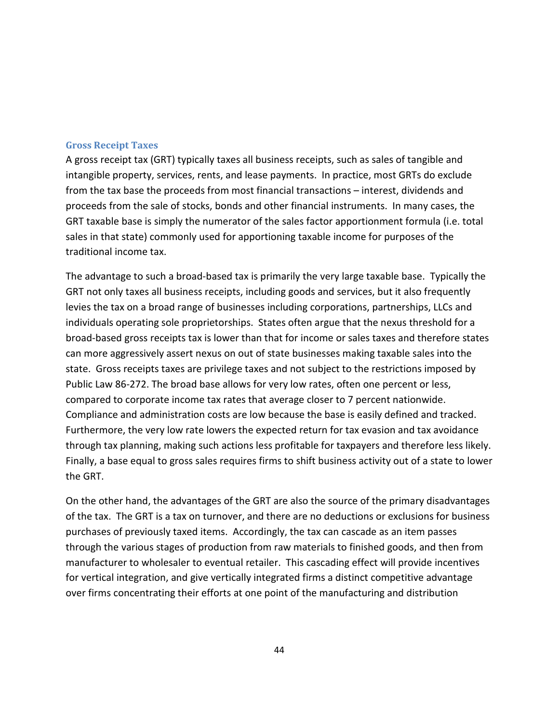### **Gross Receipt Taxes**

A gross receipt tax (GRT) typically taxes all business receipts, such as sales of tangible and intangible property, services, rents, and lease payments. In practice, most GRTs do exclude from the tax base the proceeds from most financial transactions – interest, dividends and proceeds from the sale of stocks, bonds and other financial instruments. In many cases, the GRT taxable base is simply the numerator of the sales factor apportionment formula (i.e. total sales in that state) commonly used for apportioning taxable income for purposes of the traditional income tax.

The advantage to such a broad-based tax is primarily the very large taxable base. Typically the GRT not only taxes all business receipts, including goods and services, but it also frequently levies the tax on a broad range of businesses including corporations, partnerships, LLCs and individuals operating sole proprietorships. States often argue that the nexus threshold for a broad-based gross receipts tax is lower than that for income or sales taxes and therefore states can more aggressively assert nexus on out of state businesses making taxable sales into the state. Gross receipts taxes are privilege taxes and not subject to the restrictions imposed by Public Law 86-272. The broad base allows for very low rates, often one percent or less, compared to corporate income tax rates that average closer to 7 percent nationwide. Compliance and administration costs are low because the base is easily defined and tracked. Furthermore, the very low rate lowers the expected return for tax evasion and tax avoidance through tax planning, making such actions less profitable for taxpayers and therefore less likely. Finally, a base equal to gross sales requires firms to shift business activity out of a state to lower the GRT.

On the other hand, the advantages of the GRT are also the source of the primary disadvantages of the tax. The GRT is a tax on turnover, and there are no deductions or exclusions for business purchases of previously taxed items. Accordingly, the tax can cascade as an item passes through the various stages of production from raw materials to finished goods, and then from manufacturer to wholesaler to eventual retailer. This cascading effect will provide incentives for vertical integration, and give vertically integrated firms a distinct competitive advantage over firms concentrating their efforts at one point of the manufacturing and distribution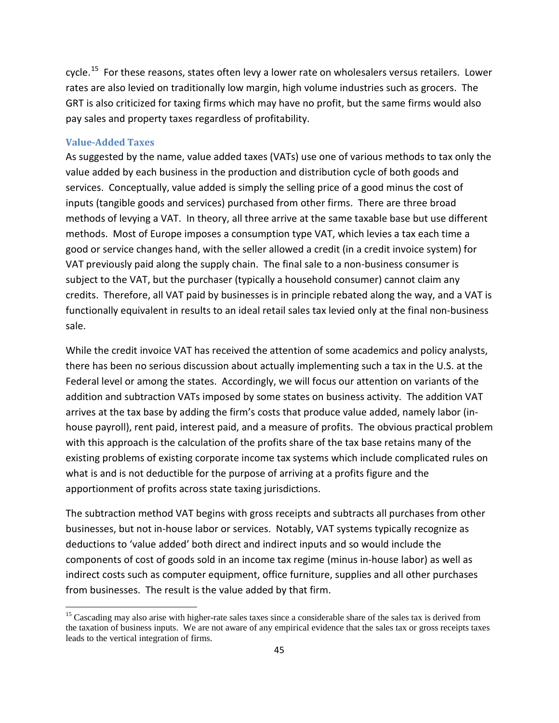cycle.[15](#page-44-0) For these reasons, states often levy a lower rate on wholesalers versus retailers. Lower rates are also levied on traditionally low margin, high volume industries such as grocers. The GRT is also criticized for taxing firms which may have no profit, but the same firms would also pay sales and property taxes regardless of profitability.

### **Value-Added Taxes**

As suggested by the name, value added taxes (VATs) use one of various methods to tax only the value added by each business in the production and distribution cycle of both goods and services. Conceptually, value added is simply the selling price of a good minus the cost of inputs (tangible goods and services) purchased from other firms. There are three broad methods of levying a VAT. In theory, all three arrive at the same taxable base but use different methods. Most of Europe imposes a consumption type VAT, which levies a tax each time a good or service changes hand, with the seller allowed a credit (in a credit invoice system) for VAT previously paid along the supply chain. The final sale to a non-business consumer is subject to the VAT, but the purchaser (typically a household consumer) cannot claim any credits. Therefore, all VAT paid by businesses is in principle rebated along the way, and a VAT is functionally equivalent in results to an ideal retail sales tax levied only at the final non-business sale.

While the credit invoice VAT has received the attention of some academics and policy analysts, there has been no serious discussion about actually implementing such a tax in the U.S. at the Federal level or among the states. Accordingly, we will focus our attention on variants of the addition and subtraction VATs imposed by some states on business activity. The addition VAT arrives at the tax base by adding the firm's costs that produce value added, namely labor (inhouse payroll), rent paid, interest paid, and a measure of profits. The obvious practical problem with this approach is the calculation of the profits share of the tax base retains many of the existing problems of existing corporate income tax systems which include complicated rules on what is and is not deductible for the purpose of arriving at a profits figure and the apportionment of profits across state taxing jurisdictions.

The subtraction method VAT begins with gross receipts and subtracts all purchases from other businesses, but not in-house labor or services. Notably, VAT systems typically recognize as deductions to 'value added' both direct and indirect inputs and so would include the components of cost of goods sold in an income tax regime (minus in-house labor) as well as indirect costs such as computer equipment, office furniture, supplies and all other purchases from businesses. The result is the value added by that firm.

<span id="page-44-0"></span><sup>&</sup>lt;sup>15</sup> Cascading may also arise with higher-rate sales taxes since a considerable share of the sales tax is derived from the taxation of business inputs. We are not aware of any empirical evidence that the sales tax or gross receipts taxes leads to the vertical integration of firms.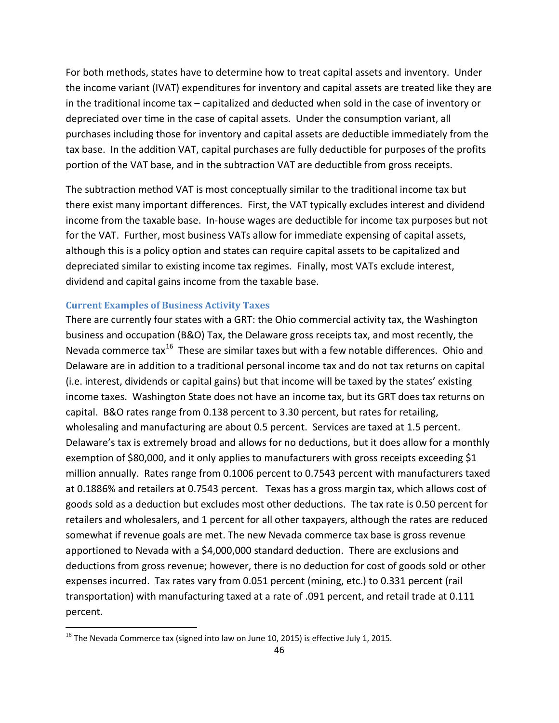For both methods, states have to determine how to treat capital assets and inventory. Under the income variant (IVAT) expenditures for inventory and capital assets are treated like they are in the traditional income tax – capitalized and deducted when sold in the case of inventory or depreciated over time in the case of capital assets. Under the consumption variant, all purchases including those for inventory and capital assets are deductible immediately from the tax base. In the addition VAT, capital purchases are fully deductible for purposes of the profits portion of the VAT base, and in the subtraction VAT are deductible from gross receipts.

The subtraction method VAT is most conceptually similar to the traditional income tax but there exist many important differences. First, the VAT typically excludes interest and dividend income from the taxable base. In-house wages are deductible for income tax purposes but not for the VAT. Further, most business VATs allow for immediate expensing of capital assets, although this is a policy option and states can require capital assets to be capitalized and depreciated similar to existing income tax regimes. Finally, most VATs exclude interest, dividend and capital gains income from the taxable base.

### **Current Examples of Business Activity Taxes**

There are currently four states with a GRT: the Ohio commercial activity tax, the Washington business and occupation (B&O) Tax, the Delaware gross receipts tax, and most recently, the Nevada commerce  $\text{tax}^{16}$  These are similar taxes but with a few notable differences. Ohio and Delaware are in addition to a traditional personal income tax and do not tax returns on capital (i.e. interest, dividends or capital gains) but that income will be taxed by the states' existing income taxes. Washington State does not have an income tax, but its GRT does tax returns on capital. B&O rates range from 0.138 percent to 3.30 percent, but rates for retailing, wholesaling and manufacturing are about 0.5 percent. Services are taxed at 1.5 percent. Delaware's tax is extremely broad and allows for no deductions, but it does allow for a monthly exemption of \$80,000, and it only applies to manufacturers with gross receipts exceeding \$1 million annually. Rates range from 0.1006 percent to 0.7543 percent with manufacturers taxed at 0.1886% and retailers at 0.7543 percent. Texas has a gross margin tax, which allows cost of goods sold as a deduction but excludes most other deductions. The tax rate is 0.50 percent for retailers and wholesalers, and 1 percent for all other taxpayers, although the rates are reduced somewhat if revenue goals are met. The new Nevada commerce tax base is gross revenue apportioned to Nevada with a \$4,000,000 standard deduction. There are exclusions and deductions from gross revenue; however, there is no deduction for cost of goods sold or other expenses incurred. Tax rates vary from 0.051 percent (mining, etc.) to 0.331 percent (rail transportation) with manufacturing taxed at a rate of .091 percent, and retail trade at 0.111 percent.

 $\overline{\phantom{a}}$ 

<span id="page-45-0"></span> $^{16}$  The Nevada Commerce tax (signed into law on June 10, 2015) is effective July 1, 2015.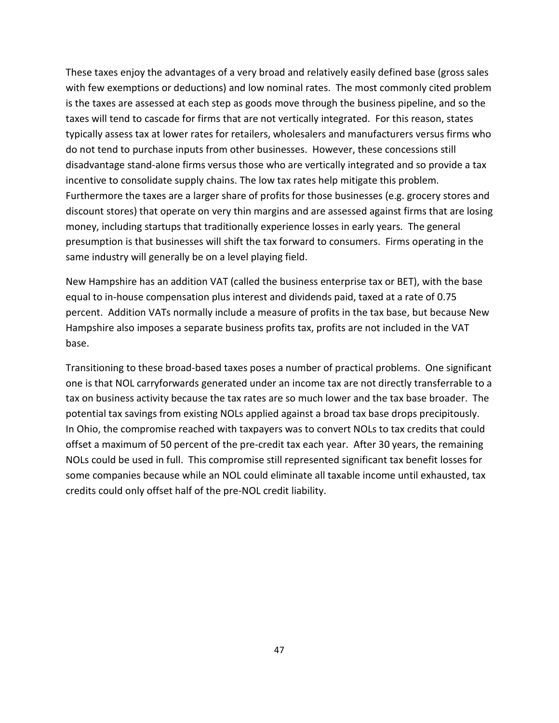These taxes enjoy the advantages of a very broad and relatively easily defined base (gross sales with few exemptions or deductions) and low nominal rates. The most commonly cited problem is the taxes are assessed at each step as goods move through the business pipeline, and so the taxes will tend to cascade for firms that are not vertically integrated. For this reason, states typically assess tax at lower rates for retailers, wholesalers and manufacturers versus firms who do not tend to purchase inputs from other businesses. However, these concessions still disadvantage stand-alone firms versus those who are vertically integrated and so provide a tax incentive to consolidate supply chains. The low tax rates help mitigate this problem. Furthermore the taxes are a larger share of profits for those businesses (e.g. grocery stores and discount stores) that operate on very thin margins and are assessed against firms that are losing money, including startups that traditionally experience losses in early years. The general presumption is that businesses will shift the tax forward to consumers. Firms operating in the same industry will generally be on a level playing field.

New Hampshire has an addition VAT (called the business enterprise tax or BET), with the base equal to in-house compensation plus interest and dividends paid, taxed at a rate of 0.75 percent. Addition VATs normally include a measure of profits in the tax base, but because New Hampshire also imposes a separate business profits tax, profits are not included in the VAT base.

Transitioning to these broad-based taxes poses a number of practical problems. One significant one is that NOL carryforwards generated under an income tax are not directly transferrable to a tax on business activity because the tax rates are so much lower and the tax base broader. The potential tax savings from existing NOLs applied against a broad tax base drops precipitously. In Ohio, the compromise reached with taxpayers was to convert NOLs to tax credits that could offset a maximum of 50 percent of the pre-credit tax each year. After 30 years, the remaining NOLs could be used in full. This compromise still represented significant tax benefit losses for some companies because while an NOL could eliminate all taxable income until exhausted, tax credits could only offset half of the pre-NOL credit liability.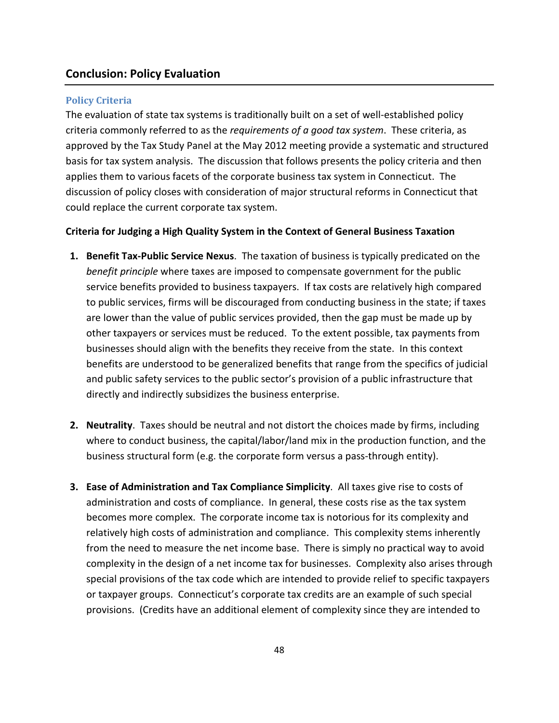### <span id="page-47-0"></span>**Conclusion: Policy Evaluation**

### **Policy Criteria**

The evaluation of state tax systems is traditionally built on a set of well-established policy criteria commonly referred to as the *requirements of a good tax system*. These criteria, as approved by the Tax Study Panel at the May 2012 meeting provide a systematic and structured basis for tax system analysis. The discussion that follows presents the policy criteria and then applies them to various facets of the corporate business tax system in Connecticut. The discussion of policy closes with consideration of major structural reforms in Connecticut that could replace the current corporate tax system.

### **Criteria for Judging a High Quality System in the Context of General Business Taxation**

- **1. Benefit Tax-Public Service Nexus**. The taxation of business is typically predicated on the *benefit principle* where taxes are imposed to compensate government for the public service benefits provided to business taxpayers. If tax costs are relatively high compared to public services, firms will be discouraged from conducting business in the state; if taxes are lower than the value of public services provided, then the gap must be made up by other taxpayers or services must be reduced. To the extent possible, tax payments from businesses should align with the benefits they receive from the state. In this context benefits are understood to be generalized benefits that range from the specifics of judicial and public safety services to the public sector's provision of a public infrastructure that directly and indirectly subsidizes the business enterprise.
- **2. Neutrality**. Taxes should be neutral and not distort the choices made by firms, including where to conduct business, the capital/labor/land mix in the production function, and the business structural form (e.g. the corporate form versus a pass-through entity).
- **3. Ease of Administration and Tax Compliance Simplicity**. All taxes give rise to costs of administration and costs of compliance. In general, these costs rise as the tax system becomes more complex. The corporate income tax is notorious for its complexity and relatively high costs of administration and compliance. This complexity stems inherently from the need to measure the net income base. There is simply no practical way to avoid complexity in the design of a net income tax for businesses. Complexity also arises through special provisions of the tax code which are intended to provide relief to specific taxpayers or taxpayer groups. Connecticut's corporate tax credits are an example of such special provisions. (Credits have an additional element of complexity since they are intended to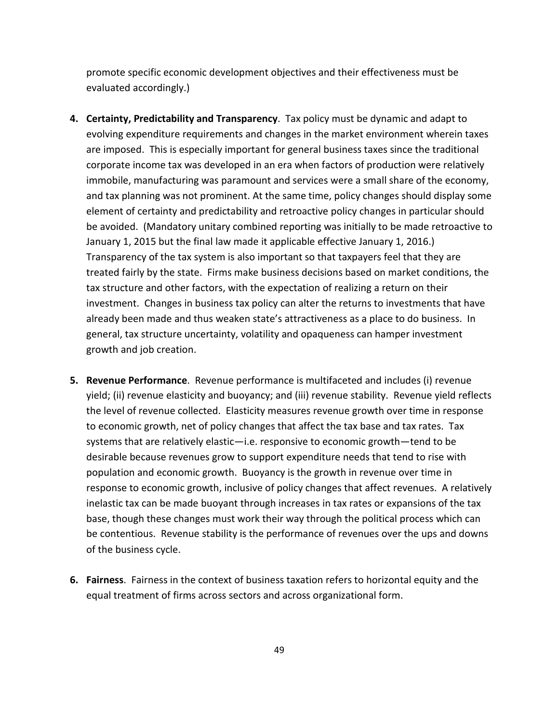promote specific economic development objectives and their effectiveness must be evaluated accordingly.)

- **4. Certainty, Predictability and Transparency**. Tax policy must be dynamic and adapt to evolving expenditure requirements and changes in the market environment wherein taxes are imposed. This is especially important for general business taxes since the traditional corporate income tax was developed in an era when factors of production were relatively immobile, manufacturing was paramount and services were a small share of the economy, and tax planning was not prominent. At the same time, policy changes should display some element of certainty and predictability and retroactive policy changes in particular should be avoided. (Mandatory unitary combined reporting was initially to be made retroactive to January 1, 2015 but the final law made it applicable effective January 1, 2016.) Transparency of the tax system is also important so that taxpayers feel that they are treated fairly by the state. Firms make business decisions based on market conditions, the tax structure and other factors, with the expectation of realizing a return on their investment. Changes in business tax policy can alter the returns to investments that have already been made and thus weaken state's attractiveness as a place to do business. In general, tax structure uncertainty, volatility and opaqueness can hamper investment growth and job creation.
- **5. Revenue Performance**. Revenue performance is multifaceted and includes (i) revenue yield; (ii) revenue elasticity and buoyancy; and (iii) revenue stability. Revenue yield reflects the level of revenue collected. Elasticity measures revenue growth over time in response to economic growth, net of policy changes that affect the tax base and tax rates. Tax systems that are relatively elastic—i.e. responsive to economic growth—tend to be desirable because revenues grow to support expenditure needs that tend to rise with population and economic growth. Buoyancy is the growth in revenue over time in response to economic growth, inclusive of policy changes that affect revenues. A relatively inelastic tax can be made buoyant through increases in tax rates or expansions of the tax base, though these changes must work their way through the political process which can be contentious. Revenue stability is the performance of revenues over the ups and downs of the business cycle.
- **6. Fairness**. Fairness in the context of business taxation refers to horizontal equity and the equal treatment of firms across sectors and across organizational form.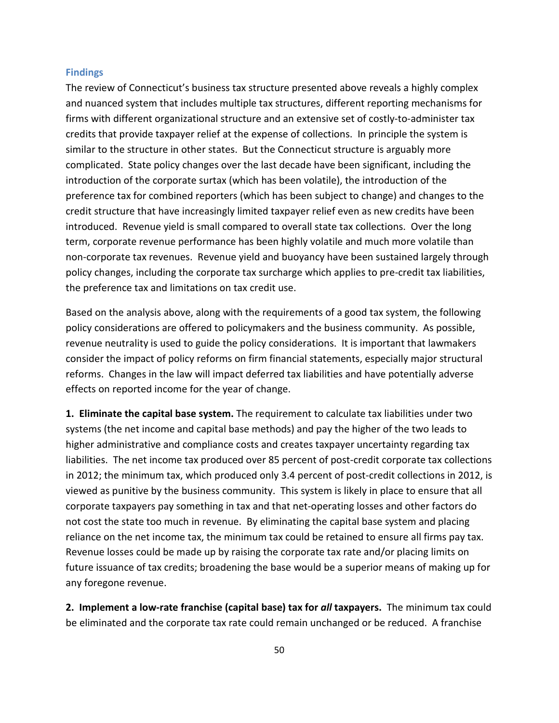### **Findings**

The review of Connecticut's business tax structure presented above reveals a highly complex and nuanced system that includes multiple tax structures, different reporting mechanisms for firms with different organizational structure and an extensive set of costly-to-administer tax credits that provide taxpayer relief at the expense of collections. In principle the system is similar to the structure in other states. But the Connecticut structure is arguably more complicated. State policy changes over the last decade have been significant, including the introduction of the corporate surtax (which has been volatile), the introduction of the preference tax for combined reporters (which has been subject to change) and changes to the credit structure that have increasingly limited taxpayer relief even as new credits have been introduced. Revenue yield is small compared to overall state tax collections. Over the long term, corporate revenue performance has been highly volatile and much more volatile than non-corporate tax revenues. Revenue yield and buoyancy have been sustained largely through policy changes, including the corporate tax surcharge which applies to pre-credit tax liabilities, the preference tax and limitations on tax credit use.

Based on the analysis above, along with the requirements of a good tax system, the following policy considerations are offered to policymakers and the business community. As possible, revenue neutrality is used to guide the policy considerations. It is important that lawmakers consider the impact of policy reforms on firm financial statements, especially major structural reforms. Changes in the law will impact deferred tax liabilities and have potentially adverse effects on reported income for the year of change.

**1. Eliminate the capital base system.** The requirement to calculate tax liabilities under two systems (the net income and capital base methods) and pay the higher of the two leads to higher administrative and compliance costs and creates taxpayer uncertainty regarding tax liabilities. The net income tax produced over 85 percent of post-credit corporate tax collections in 2012; the minimum tax, which produced only 3.4 percent of post-credit collections in 2012, is viewed as punitive by the business community. This system is likely in place to ensure that all corporate taxpayers pay something in tax and that net-operating losses and other factors do not cost the state too much in revenue. By eliminating the capital base system and placing reliance on the net income tax, the minimum tax could be retained to ensure all firms pay tax. Revenue losses could be made up by raising the corporate tax rate and/or placing limits on future issuance of tax credits; broadening the base would be a superior means of making up for any foregone revenue.

**2. Implement a low-rate franchise (capital base) tax for** *all* **taxpayers.** The minimum tax could be eliminated and the corporate tax rate could remain unchanged or be reduced. A franchise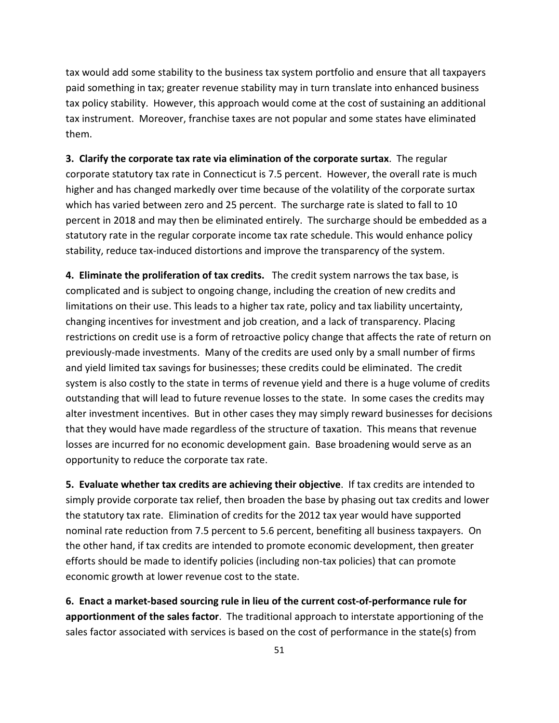tax would add some stability to the business tax system portfolio and ensure that all taxpayers paid something in tax; greater revenue stability may in turn translate into enhanced business tax policy stability. However, this approach would come at the cost of sustaining an additional tax instrument. Moreover, franchise taxes are not popular and some states have eliminated them.

**3. Clarify the corporate tax rate via elimination of the corporate surtax**. The regular corporate statutory tax rate in Connecticut is 7.5 percent. However, the overall rate is much higher and has changed markedly over time because of the volatility of the corporate surtax which has varied between zero and 25 percent. The surcharge rate is slated to fall to 10 percent in 2018 and may then be eliminated entirely. The surcharge should be embedded as a statutory rate in the regular corporate income tax rate schedule. This would enhance policy stability, reduce tax-induced distortions and improve the transparency of the system.

**4. Eliminate the proliferation of tax credits.** The credit system narrows the tax base, is complicated and is subject to ongoing change, including the creation of new credits and limitations on their use. This leads to a higher tax rate, policy and tax liability uncertainty, changing incentives for investment and job creation, and a lack of transparency. Placing restrictions on credit use is a form of retroactive policy change that affects the rate of return on previously-made investments. Many of the credits are used only by a small number of firms and yield limited tax savings for businesses; these credits could be eliminated. The credit system is also costly to the state in terms of revenue yield and there is a huge volume of credits outstanding that will lead to future revenue losses to the state. In some cases the credits may alter investment incentives. But in other cases they may simply reward businesses for decisions that they would have made regardless of the structure of taxation. This means that revenue losses are incurred for no economic development gain. Base broadening would serve as an opportunity to reduce the corporate tax rate.

**5. Evaluate whether tax credits are achieving their objective**. If tax credits are intended to simply provide corporate tax relief, then broaden the base by phasing out tax credits and lower the statutory tax rate. Elimination of credits for the 2012 tax year would have supported nominal rate reduction from 7.5 percent to 5.6 percent, benefiting all business taxpayers. On the other hand, if tax credits are intended to promote economic development, then greater efforts should be made to identify policies (including non-tax policies) that can promote economic growth at lower revenue cost to the state.

**6. Enact a market-based sourcing rule in lieu of the current cost-of-performance rule for apportionment of the sales factor**. The traditional approach to interstate apportioning of the sales factor associated with services is based on the cost of performance in the state(s) from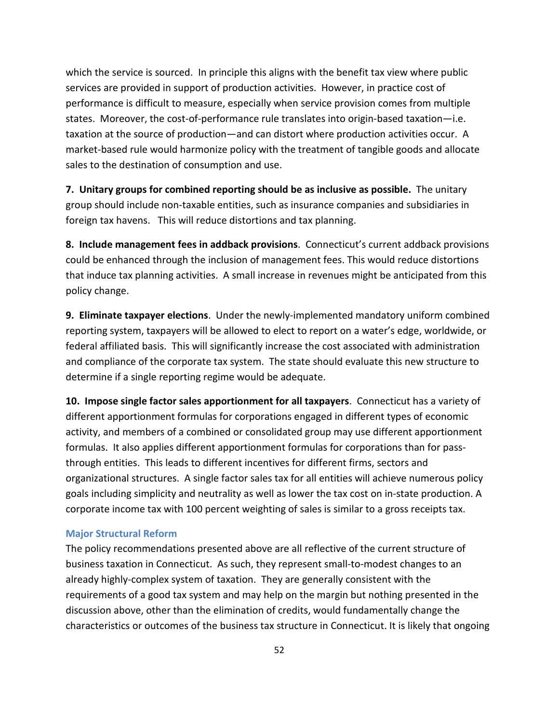which the service is sourced. In principle this aligns with the benefit tax view where public services are provided in support of production activities. However, in practice cost of performance is difficult to measure, especially when service provision comes from multiple states. Moreover, the cost-of-performance rule translates into origin-based taxation—i.e. taxation at the source of production—and can distort where production activities occur. A market-based rule would harmonize policy with the treatment of tangible goods and allocate sales to the destination of consumption and use.

**7. Unitary groups for combined reporting should be as inclusive as possible.** The unitary group should include non-taxable entities, such as insurance companies and subsidiaries in foreign tax havens. This will reduce distortions and tax planning.

**8. Include management fees in addback provisions**. Connecticut's current addback provisions could be enhanced through the inclusion of management fees. This would reduce distortions that induce tax planning activities. A small increase in revenues might be anticipated from this policy change.

**9. Eliminate taxpayer elections**. Under the newly-implemented mandatory uniform combined reporting system, taxpayers will be allowed to elect to report on a water's edge, worldwide, or federal affiliated basis. This will significantly increase the cost associated with administration and compliance of the corporate tax system. The state should evaluate this new structure to determine if a single reporting regime would be adequate.

**10. Impose single factor sales apportionment for all taxpayers**. Connecticut has a variety of different apportionment formulas for corporations engaged in different types of economic activity, and members of a combined or consolidated group may use different apportionment formulas. It also applies different apportionment formulas for corporations than for passthrough entities. This leads to different incentives for different firms, sectors and organizational structures. A single factor sales tax for all entities will achieve numerous policy goals including simplicity and neutrality as well as lower the tax cost on in-state production. A corporate income tax with 100 percent weighting of sales is similar to a gross receipts tax.

### **Major Structural Reform**

The policy recommendations presented above are all reflective of the current structure of business taxation in Connecticut. As such, they represent small-to-modest changes to an already highly-complex system of taxation. They are generally consistent with the requirements of a good tax system and may help on the margin but nothing presented in the discussion above, other than the elimination of credits, would fundamentally change the characteristics or outcomes of the business tax structure in Connecticut. It is likely that ongoing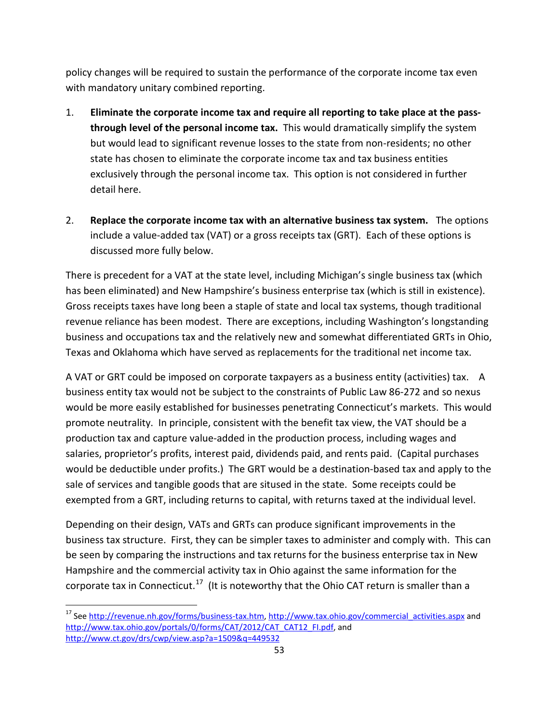policy changes will be required to sustain the performance of the corporate income tax even with mandatory unitary combined reporting.

- 1. **Eliminate the corporate income tax and require all reporting to take place at the passthrough level of the personal income tax.** This would dramatically simplify the system but would lead to significant revenue losses to the state from non-residents; no other state has chosen to eliminate the corporate income tax and tax business entities exclusively through the personal income tax. This option is not considered in further detail here.
- 2. **Replace the corporate income tax with an alternative business tax system.** The options include a value-added tax (VAT) or a gross receipts tax (GRT). Each of these options is discussed more fully below.

There is precedent for a VAT at the state level, including Michigan's single business tax (which has been eliminated) and New Hampshire's business enterprise tax (which is still in existence). Gross receipts taxes have long been a staple of state and local tax systems, though traditional revenue reliance has been modest. There are exceptions, including Washington's longstanding business and occupations tax and the relatively new and somewhat differentiated GRTs in Ohio, Texas and Oklahoma which have served as replacements for the traditional net income tax.

A VAT or GRT could be imposed on corporate taxpayers as a business entity (activities) tax. A business entity tax would not be subject to the constraints of Public Law 86-272 and so nexus would be more easily established for businesses penetrating Connecticut's markets. This would promote neutrality. In principle, consistent with the benefit tax view, the VAT should be a production tax and capture value-added in the production process, including wages and salaries, proprietor's profits, interest paid, dividends paid, and rents paid. (Capital purchases would be deductible under profits.) The GRT would be a destination-based tax and apply to the sale of services and tangible goods that are sitused in the state. Some receipts could be exempted from a GRT, including returns to capital, with returns taxed at the individual level.

Depending on their design, VATs and GRTs can produce significant improvements in the business tax structure. First, they can be simpler taxes to administer and comply with. This can be seen by comparing the instructions and tax returns for the business enterprise tax in New Hampshire and the commercial activity tax in Ohio against the same information for the corporate tax in Connecticut.<sup>17</sup> (It is noteworthy that the Ohio CAT return is smaller than a

<span id="page-52-0"></span><sup>&</sup>lt;sup>17</sup> Se[e http://revenue.nh.gov/forms/business-tax.htm,](http://revenue.nh.gov/forms/business-tax.htm) [http://www.tax.ohio.gov/commercial\\_activities.aspx](http://www.tax.ohio.gov/commercial_activities.aspx) and [http://www.tax.ohio.gov/portals/0/forms/CAT/2012/CAT\\_CAT12\\_FI.pdf,](http://www.tax.ohio.gov/portals/0/forms/CAT/2012/CAT_CAT12_FI.pdf) and <http://www.ct.gov/drs/cwp/view.asp?a=1509&q=449532>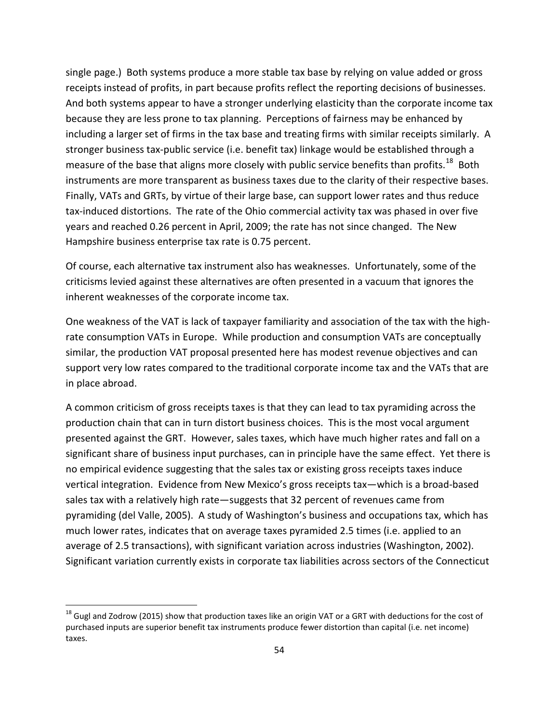single page.) Both systems produce a more stable tax base by relying on value added or gross receipts instead of profits, in part because profits reflect the reporting decisions of businesses. And both systems appear to have a stronger underlying elasticity than the corporate income tax because they are less prone to tax planning. Perceptions of fairness may be enhanced by including a larger set of firms in the tax base and treating firms with similar receipts similarly. A stronger business tax-public service (i.e. benefit tax) linkage would be established through a measure of the base that aligns more closely with public service benefits than profits.<sup>[18](#page-53-0)</sup> Both instruments are more transparent as business taxes due to the clarity of their respective bases. Finally, VATs and GRTs, by virtue of their large base, can support lower rates and thus reduce tax-induced distortions. The rate of the Ohio commercial activity tax was phased in over five years and reached 0.26 percent in April, 2009; the rate has not since changed. The New Hampshire business enterprise tax rate is 0.75 percent.

Of course, each alternative tax instrument also has weaknesses. Unfortunately, some of the criticisms levied against these alternatives are often presented in a vacuum that ignores the inherent weaknesses of the corporate income tax.

One weakness of the VAT is lack of taxpayer familiarity and association of the tax with the highrate consumption VATs in Europe. While production and consumption VATs are conceptually similar, the production VAT proposal presented here has modest revenue objectives and can support very low rates compared to the traditional corporate income tax and the VATs that are in place abroad.

A common criticism of gross receipts taxes is that they can lead to tax pyramiding across the production chain that can in turn distort business choices. This is the most vocal argument presented against the GRT. However, sales taxes, which have much higher rates and fall on a significant share of business input purchases, can in principle have the same effect. Yet there is no empirical evidence suggesting that the sales tax or existing gross receipts taxes induce vertical integration. Evidence from New Mexico's gross receipts tax—which is a broad-based sales tax with a relatively high rate—suggests that 32 percent of revenues came from pyramiding (del Valle, 2005). A study of Washington's business and occupations tax, which has much lower rates, indicates that on average taxes pyramided 2.5 times (i.e. applied to an average of 2.5 transactions), with significant variation across industries (Washington, 2002). Significant variation currently exists in corporate tax liabilities across sectors of the Connecticut

<span id="page-53-0"></span> $18$  Gugl and Zodrow (2015) show that production taxes like an origin VAT or a GRT with deductions for the cost of purchased inputs are superior benefit tax instruments produce fewer distortion than capital (i.e. net income) taxes.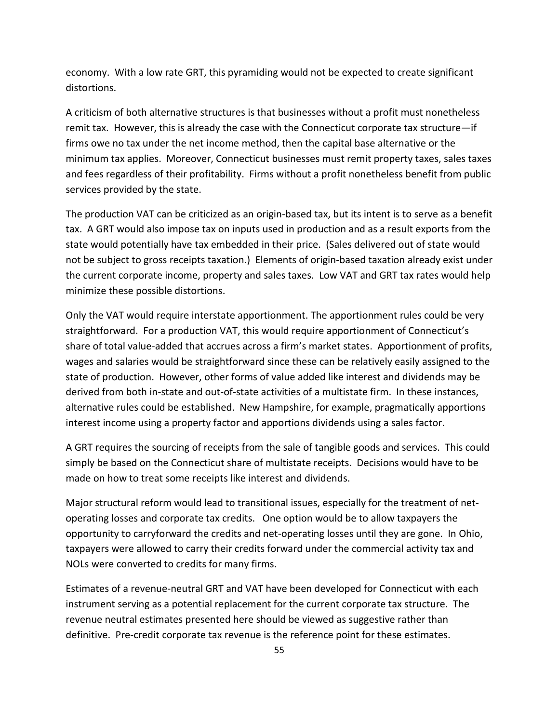economy. With a low rate GRT, this pyramiding would not be expected to create significant distortions.

A criticism of both alternative structures is that businesses without a profit must nonetheless remit tax. However, this is already the case with the Connecticut corporate tax structure—if firms owe no tax under the net income method, then the capital base alternative or the minimum tax applies. Moreover, Connecticut businesses must remit property taxes, sales taxes and fees regardless of their profitability. Firms without a profit nonetheless benefit from public services provided by the state.

The production VAT can be criticized as an origin-based tax, but its intent is to serve as a benefit tax. A GRT would also impose tax on inputs used in production and as a result exports from the state would potentially have tax embedded in their price. (Sales delivered out of state would not be subject to gross receipts taxation.) Elements of origin-based taxation already exist under the current corporate income, property and sales taxes. Low VAT and GRT tax rates would help minimize these possible distortions.

Only the VAT would require interstate apportionment. The apportionment rules could be very straightforward. For a production VAT, this would require apportionment of Connecticut's share of total value-added that accrues across a firm's market states. Apportionment of profits, wages and salaries would be straightforward since these can be relatively easily assigned to the state of production. However, other forms of value added like interest and dividends may be derived from both in-state and out-of-state activities of a multistate firm. In these instances, alternative rules could be established. New Hampshire, for example, pragmatically apportions interest income using a property factor and apportions dividends using a sales factor.

A GRT requires the sourcing of receipts from the sale of tangible goods and services. This could simply be based on the Connecticut share of multistate receipts. Decisions would have to be made on how to treat some receipts like interest and dividends.

Major structural reform would lead to transitional issues, especially for the treatment of netoperating losses and corporate tax credits. One option would be to allow taxpayers the opportunity to carryforward the credits and net-operating losses until they are gone. In Ohio, taxpayers were allowed to carry their credits forward under the commercial activity tax and NOLs were converted to credits for many firms.

Estimates of a revenue-neutral GRT and VAT have been developed for Connecticut with each instrument serving as a potential replacement for the current corporate tax structure. The revenue neutral estimates presented here should be viewed as suggestive rather than definitive. Pre-credit corporate tax revenue is the reference point for these estimates.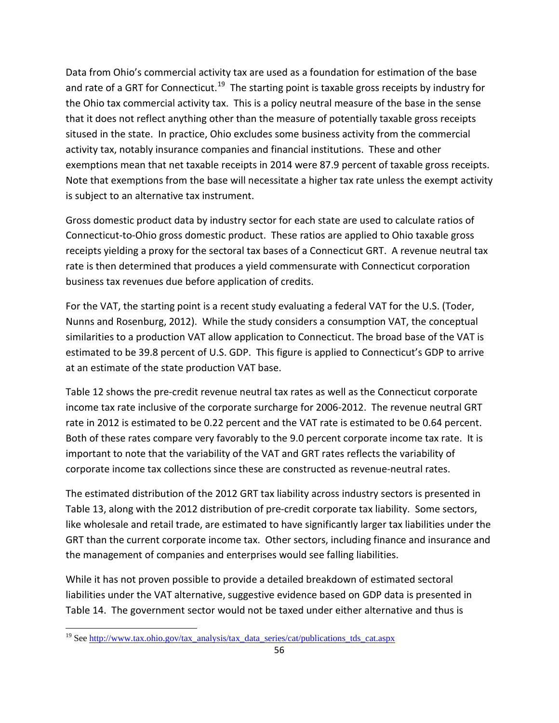Data from Ohio's commercial activity tax are used as a foundation for estimation of the base and rate of a GRT for Connecticut.<sup>19</sup> The starting point is taxable gross receipts by industry for the Ohio tax commercial activity tax. This is a policy neutral measure of the base in the sense that it does not reflect anything other than the measure of potentially taxable gross receipts sitused in the state. In practice, Ohio excludes some business activity from the commercial activity tax, notably insurance companies and financial institutions. These and other exemptions mean that net taxable receipts in 2014 were 87.9 percent of taxable gross receipts. Note that exemptions from the base will necessitate a higher tax rate unless the exempt activity is subject to an alternative tax instrument.

Gross domestic product data by industry sector for each state are used to calculate ratios of Connecticut-to-Ohio gross domestic product. These ratios are applied to Ohio taxable gross receipts yielding a proxy for the sectoral tax bases of a Connecticut GRT. A revenue neutral tax rate is then determined that produces a yield commensurate with Connecticut corporation business tax revenues due before application of credits.

For the VAT, the starting point is a recent study evaluating a federal VAT for the U.S. (Toder, Nunns and Rosenburg, 2012). While the study considers a consumption VAT, the conceptual similarities to a production VAT allow application to Connecticut. The broad base of the VAT is estimated to be 39.8 percent of U.S. GDP. This figure is applied to Connecticut's GDP to arrive at an estimate of the state production VAT base.

Table 12 shows the pre-credit revenue neutral tax rates as well as the Connecticut corporate income tax rate inclusive of the corporate surcharge for 2006-2012. The revenue neutral GRT rate in 2012 is estimated to be 0.22 percent and the VAT rate is estimated to be 0.64 percent. Both of these rates compare very favorably to the 9.0 percent corporate income tax rate. It is important to note that the variability of the VAT and GRT rates reflects the variability of corporate income tax collections since these are constructed as revenue-neutral rates.

The estimated distribution of the 2012 GRT tax liability across industry sectors is presented in Table 13, along with the 2012 distribution of pre-credit corporate tax liability. Some sectors, like wholesale and retail trade, are estimated to have significantly larger tax liabilities under the GRT than the current corporate income tax. Other sectors, including finance and insurance and the management of companies and enterprises would see falling liabilities.

While it has not proven possible to provide a detailed breakdown of estimated sectoral liabilities under the VAT alternative, suggestive evidence based on GDP data is presented in Table 14. The government sector would not be taxed under either alternative and thus is

<span id="page-55-0"></span><sup>&</sup>lt;sup>19</sup> See [http://www.tax.ohio.gov/tax\\_analysis/tax\\_data\\_series/cat/publications\\_tds\\_cat.aspx](http://www.tax.ohio.gov/tax_analysis/tax_data_series/cat/publications_tds_cat.aspx)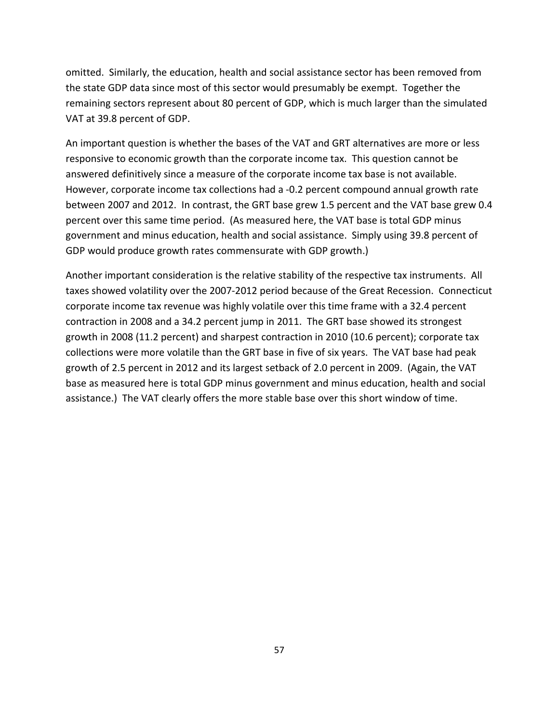omitted. Similarly, the education, health and social assistance sector has been removed from the state GDP data since most of this sector would presumably be exempt. Together the remaining sectors represent about 80 percent of GDP, which is much larger than the simulated VAT at 39.8 percent of GDP.

An important question is whether the bases of the VAT and GRT alternatives are more or less responsive to economic growth than the corporate income tax. This question cannot be answered definitively since a measure of the corporate income tax base is not available. However, corporate income tax collections had a -0.2 percent compound annual growth rate between 2007 and 2012. In contrast, the GRT base grew 1.5 percent and the VAT base grew 0.4 percent over this same time period. (As measured here, the VAT base is total GDP minus government and minus education, health and social assistance. Simply using 39.8 percent of GDP would produce growth rates commensurate with GDP growth.)

Another important consideration is the relative stability of the respective tax instruments. All taxes showed volatility over the 2007-2012 period because of the Great Recession. Connecticut corporate income tax revenue was highly volatile over this time frame with a 32.4 percent contraction in 2008 and a 34.2 percent jump in 2011. The GRT base showed its strongest growth in 2008 (11.2 percent) and sharpest contraction in 2010 (10.6 percent); corporate tax collections were more volatile than the GRT base in five of six years. The VAT base had peak growth of 2.5 percent in 2012 and its largest setback of 2.0 percent in 2009. (Again, the VAT base as measured here is total GDP minus government and minus education, health and social assistance.) The VAT clearly offers the more stable base over this short window of time.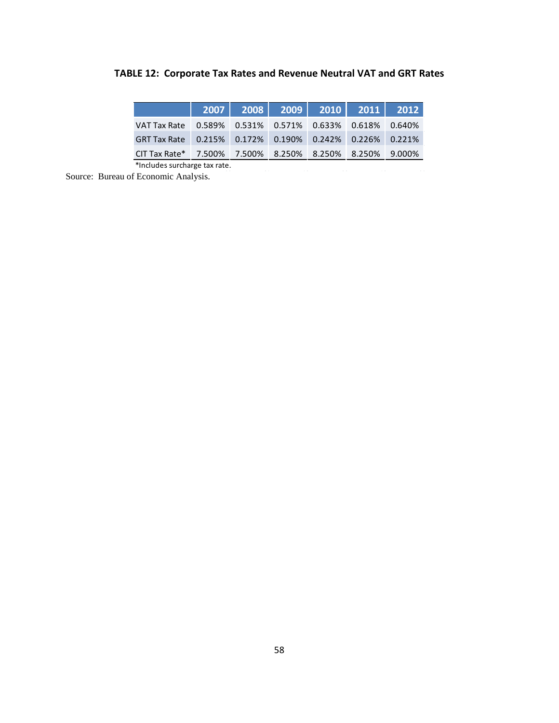|  |  |  | TABLE 12: Corporate Tax Rates and Revenue Neutral VAT and GRT Rates |  |  |  |
|--|--|--|---------------------------------------------------------------------|--|--|--|
|--|--|--|---------------------------------------------------------------------|--|--|--|

| VAT Tax Rate 0.589% 0.531% 0.571% 0.633% 0.618% 0.640%  |  |  |  |
|---------------------------------------------------------|--|--|--|
| GRT Tax Rate 0.215% 0.172% 0.190% 0.242% 0.226% 0.221%  |  |  |  |
| CIT Tax Rate* 7.500% 7.500% 8.250% 8.250% 8.250% 9.000% |  |  |  |

\*Includes surcharge tax rate.

Source: Bureau of Economic Analysis.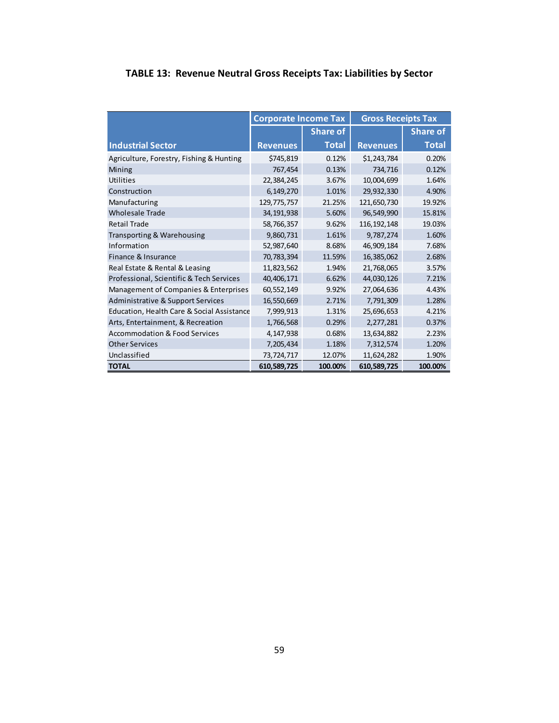# <span id="page-58-0"></span>**TABLE 13: Revenue Neutral Gross Receipts Tax: Liabilities by Sector**

|                                            | <b>Corporate Income Tax</b> |                 | <b>Gross Receipts Tax</b> |                 |
|--------------------------------------------|-----------------------------|-----------------|---------------------------|-----------------|
|                                            |                             | <b>Share of</b> |                           | <b>Share of</b> |
| <b>Industrial Sector</b>                   | <b>Revenues</b>             | <b>Total</b>    | <b>Revenues</b>           | <b>Total</b>    |
| Agriculture, Forestry, Fishing & Hunting   | \$745,819                   | 0.12%           | \$1,243,784               | 0.20%           |
| Mining                                     | 767,454                     | 0.13%           | 734,716                   | 0.12%           |
| Utilities                                  | 22,384,245                  | 3.67%           | 10,004,699                | 1.64%           |
| Construction                               | 6,149,270                   | 1.01%           | 29,932,330                | 4.90%           |
| Manufacturing                              | 129,775,757                 | 21.25%          | 121,650,730               | 19.92%          |
| <b>Wholesale Trade</b>                     | 34,191,938                  | 5.60%           | 96,549,990                | 15.81%          |
| <b>Retail Trade</b>                        | 58,766,357                  | 9.62%           | 116, 192, 148             | 19.03%          |
| Transporting & Warehousing                 | 9,860,731                   | 1.61%           | 9,787,274                 | 1.60%           |
| Information                                | 52,987,640                  | 8.68%           | 46,909,184                | 7.68%           |
| Finance & Insurance                        | 70,783,394                  | 11.59%          | 16,385,062                | 2.68%           |
| Real Estate & Rental & Leasing             | 11,823,562                  | 1.94%           | 21,768,065                | 3.57%           |
| Professional, Scientific & Tech Services   | 40,406,171                  | 6.62%           | 44,030,126                | 7.21%           |
| Management of Companies & Enterprises      | 60,552,149                  | 9.92%           | 27,064,636                | 4.43%           |
| Administrative & Support Services          | 16,550,669                  | 2.71%           | 7,791,309                 | 1.28%           |
| Education, Health Care & Social Assistance | 7,999,913                   | 1.31%           | 25,696,653                | 4.21%           |
| Arts, Entertainment, & Recreation          | 1,766,568                   | 0.29%           | 2,277,281                 | 0.37%           |
| <b>Accommodation &amp; Food Services</b>   | 4,147,938                   | 0.68%           | 13,634,882                | 2.23%           |
| <b>Other Services</b>                      | 7,205,434                   | 1.18%           | 7,312,574                 | 1.20%           |
| Unclassified                               | 73,724,717                  | 12.07%          | 11,624,282                | 1.90%           |
| <b>TOTAL</b>                               | 610,589,725                 | 100.00%         | 610,589,725               | 100.00%         |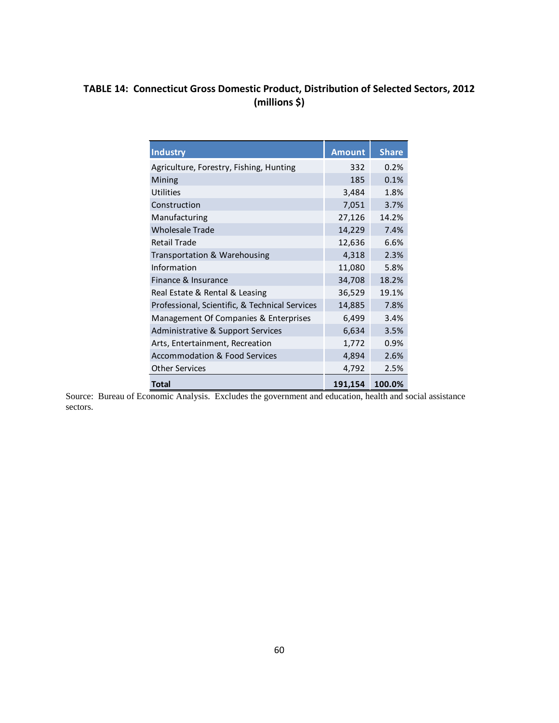# <span id="page-59-0"></span>**TABLE 14: Connecticut Gross Domestic Product, Distribution of Selected Sectors, 2012 (millions \$)**

| <b>Industry</b>                                | <b>Amount</b> | <b>Share</b> |
|------------------------------------------------|---------------|--------------|
| Agriculture, Forestry, Fishing, Hunting        | 332           | 0.2%         |
| Mining                                         | 185           | 0.1%         |
| Utilities                                      | 3,484         | 1.8%         |
| Construction                                   | 7,051         | 3.7%         |
| Manufacturing                                  | 27,126        | 14.2%        |
| <b>Wholesale Trade</b>                         | 14,229        | 7.4%         |
| <b>Retail Trade</b>                            | 12,636        | 6.6%         |
| Transportation & Warehousing                   | 4,318         | 2.3%         |
| Information                                    | 11,080        | 5.8%         |
| Finance & Insurance                            | 34,708        | 18.2%        |
| Real Estate & Rental & Leasing                 | 36,529        | 19.1%        |
| Professional, Scientific, & Technical Services | 14,885        | 7.8%         |
| Management Of Companies & Enterprises          | 6,499         | 3.4%         |
| Administrative & Support Services              | 6,634         | 3.5%         |
| Arts, Entertainment, Recreation                | 1,772         | 0.9%         |
| <b>Accommodation &amp; Food Services</b>       | 4,894         | 2.6%         |
| <b>Other Services</b>                          | 4,792         | 2.5%         |
| Total                                          | 191,154       | 100.0%       |

Source: Bureau of Economic Analysis. Excludes the government and education, health and social assistance sectors.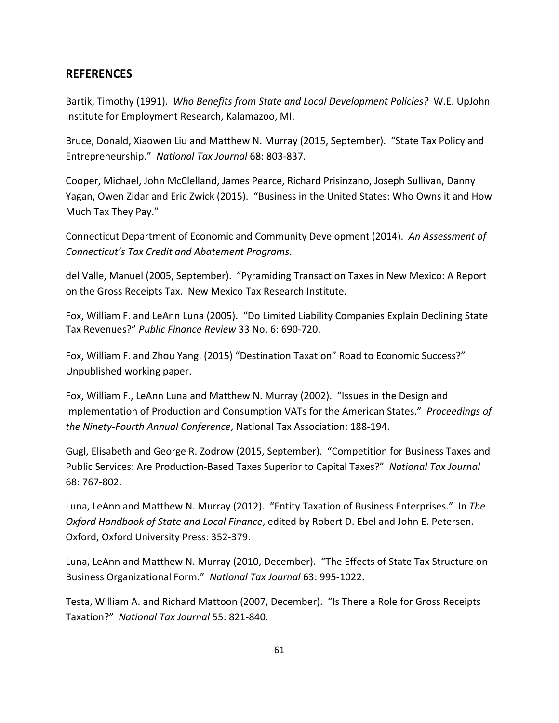### <span id="page-60-0"></span>**REFERENCES**

Bartik, Timothy (1991). *Who Benefits from State and Local Development Policies?* W.E. UpJohn Institute for Employment Research, Kalamazoo, MI.

Bruce, Donald, Xiaowen Liu and Matthew N. Murray (2015, September). "State Tax Policy and Entrepreneurship." *National Tax Journal* 68: 803-837.

Cooper, Michael, John McClelland, James Pearce, Richard Prisinzano, Joseph Sullivan, Danny Yagan, Owen Zidar and Eric Zwick (2015). "Business in the United States: Who Owns it and How Much Tax They Pay."

Connecticut Department of Economic and Community Development (2014). *An Assessment of Connecticut's Tax Credit and Abatement Programs*.

del Valle, Manuel (2005, September). "Pyramiding Transaction Taxes in New Mexico: A Report on the Gross Receipts Tax. New Mexico Tax Research Institute.

Fox, William F. and LeAnn Luna (2005). "Do Limited Liability Companies Explain Declining State Tax Revenues?" *Public Finance Review* 33 No. 6: 690-720.

Fox, William F. and Zhou Yang. (2015) "Destination Taxation" Road to Economic Success?" Unpublished working paper.

Fox, William F., LeAnn Luna and Matthew N. Murray (2002). "Issues in the Design and Implementation of Production and Consumption VATs for the American States." *Proceedings of the Ninety-Fourth Annual Conference*, National Tax Association: 188-194.

Gugl, Elisabeth and George R. Zodrow (2015, September). "Competition for Business Taxes and Public Services: Are Production-Based Taxes Superior to Capital Taxes?" *National Tax Journal* 68: 767-802.

Luna, LeAnn and Matthew N. Murray (2012). "Entity Taxation of Business Enterprises." In *The Oxford Handbook of State and Local Finance*, edited by Robert D. Ebel and John E. Petersen. Oxford, Oxford University Press: 352-379.

Luna, LeAnn and Matthew N. Murray (2010, December). "The Effects of State Tax Structure on Business Organizational Form." *National Tax Journal* 63: 995-1022.

Testa, William A. and Richard Mattoon (2007, December). "Is There a Role for Gross Receipts Taxation?" *National Tax Journal* 55: 821-840.